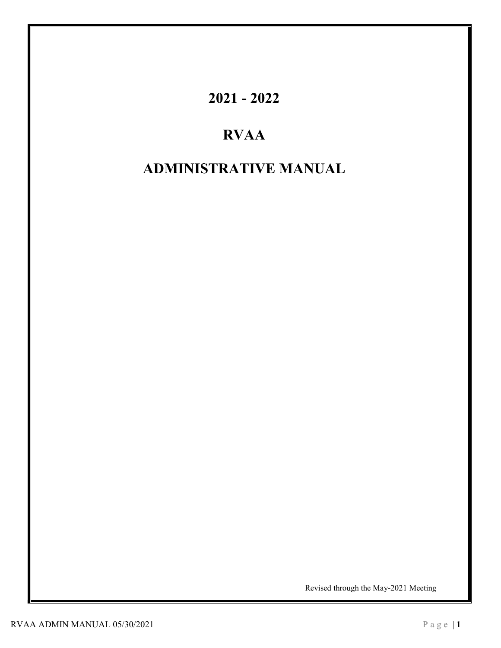<span id="page-0-0"></span>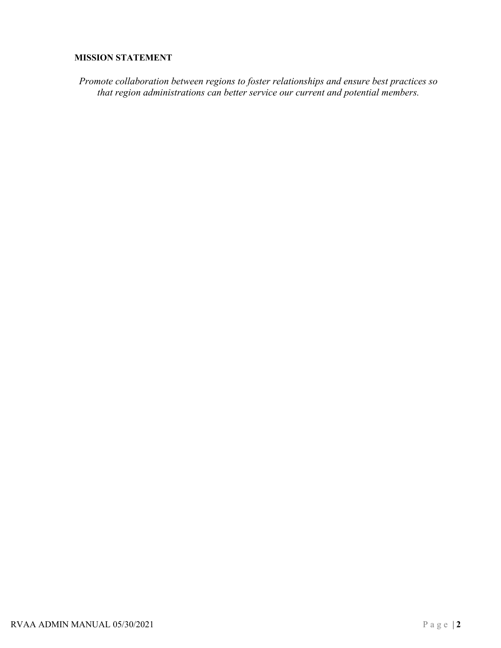## **MISSION STATEMENT**

*Promote collaboration between regions to foster relationships and ensure best practices so that region administrations can better service our current and potential members.*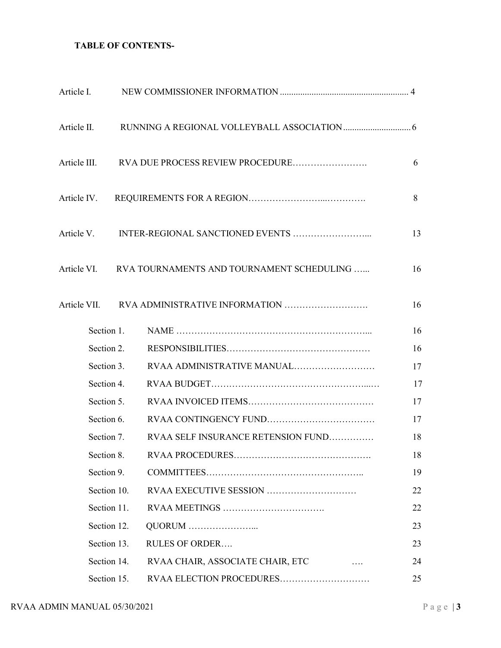# **TABLE OF CONTENTS-**

| Article I.   |             |                                                       |    |
|--------------|-------------|-------------------------------------------------------|----|
| Article II.  |             |                                                       |    |
| Article III. |             |                                                       | 6  |
|              |             |                                                       | 8  |
| Article V.   |             |                                                       | 13 |
|              |             | Article VI. RVA TOURNAMENTS AND TOURNAMENT SCHEDULING | 16 |
|              |             |                                                       | 16 |
|              | Section 1.  |                                                       | 16 |
|              | Section 2.  |                                                       | 16 |
|              | Section 3.  |                                                       | 17 |
|              | Section 4.  |                                                       | 17 |
|              | Section 5.  |                                                       | 17 |
|              | Section 6.  |                                                       | 17 |
|              | Section 7.  | RVAA SELF INSURANCE RETENSION FUND                    | 18 |
|              | Section 8.  |                                                       | 18 |
|              | Section 9.  |                                                       | 19 |
|              | Section 10. |                                                       | 22 |
|              | Section 11. |                                                       | 22 |
|              | Section 12. | QUORUM                                                | 23 |
|              | Section 13. | <b>RULES OF ORDER</b>                                 | 23 |
|              | Section 14. | RVAA CHAIR, ASSOCIATE CHAIR, ETC                      | 24 |
|              | Section 15. | RVAA ELECTION PROCEDURES                              | 25 |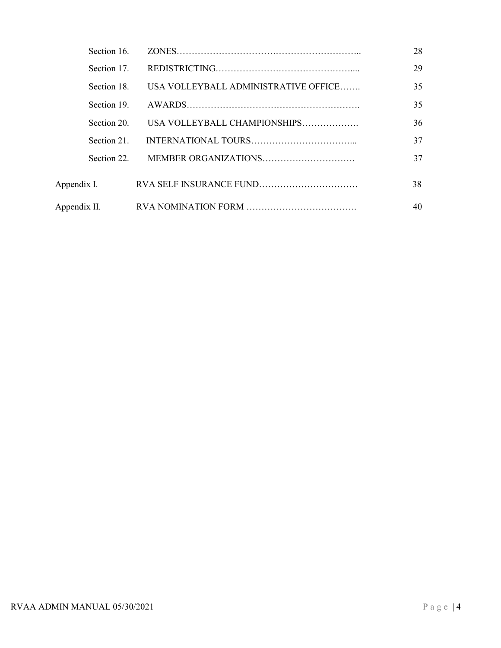| Section 16.  |                                      | 28 |
|--------------|--------------------------------------|----|
| Section 17.  |                                      | 29 |
| Section 18.  | USA VOLLEYBALL ADMINISTRATIVE OFFICE | 35 |
| Section 19.  |                                      | 35 |
| Section 20.  | USA VOLLEYBALL CHAMPIONSHIPS         | 36 |
| Section 21.  |                                      | 37 |
| Section 22.  |                                      | 37 |
| Appendix I.  |                                      | 38 |
| Appendix II. |                                      | 40 |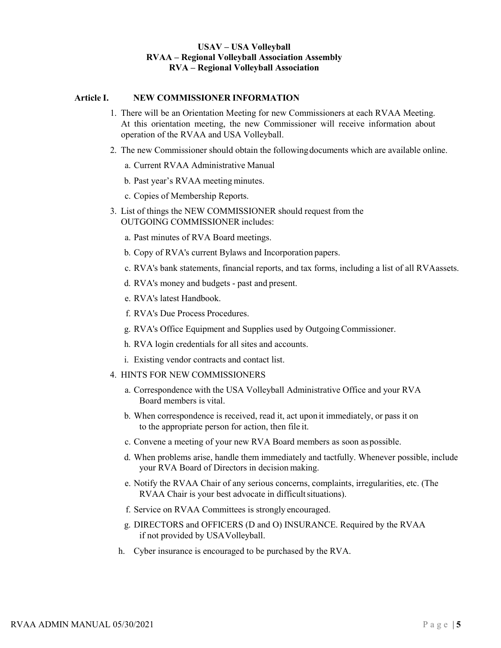#### **USAV – USA Volleyball RVAA – Regional Volleyball Association Assembly RVA – Regional Volleyball Association**

#### **Article I. NEW COMMISSIONER INFORMATION**

- 1. There will be an Orientation Meeting for new Commissioners at each RVAA Meeting. At this orientation meeting, the new Commissioner will receive information about operation of the RVAA and USA Volleyball.
- 2. The new Commissioner should obtain the followingdocuments which are available online.
	- a. Current RVAA Administrative Manual
	- b. Past year's RVAA meeting minutes.
	- c. Copies of Membership Reports.
- 3. List of things the NEW COMMISSIONER should request from the OUTGOING COMMISSIONER includes:
	- a. Past minutes of RVA Board meetings.
	- b. Copy of RVA's current Bylaws and Incorporation papers.
	- c. RVA's bank statements, financial reports, and tax forms, including a list of all RVAassets.
	- d. RVA's money and budgets past and present.
	- e. RVA's latest Handbook.
	- f. RVA's Due Process Procedures.
	- g. RVA's Office Equipment and Supplies used by OutgoingCommissioner.
	- h. RVA login credentials for all sites and accounts.
	- i. Existing vendor contracts and contact list.
- 4. HINTS FOR NEW COMMISSIONERS
	- a. Correspondence with the USA Volleyball Administrative Office and your RVA Board members is vital.
	- b. When correspondence is received, read it, act upon it immediately, or pass it on to the appropriate person for action, then file it.
	- c. Convene a meeting of your new RVA Board members as soon aspossible.
	- d. When problems arise, handle them immediately and tactfully. Whenever possible, include your RVA Board of Directors in decision making.
	- e. Notify the RVAA Chair of any serious concerns, complaints, irregularities, etc. (The RVAA Chair is your best advocate in difficultsituations).
	- f. Service on RVAA Committees is strongly encouraged.
	- g. DIRECTORS and OFFICERS (D and O) INSURANCE. Required by the RVAA if not provided by USAVolleyball.
	- h. Cyber insurance is encouraged to be purchased by the RVA.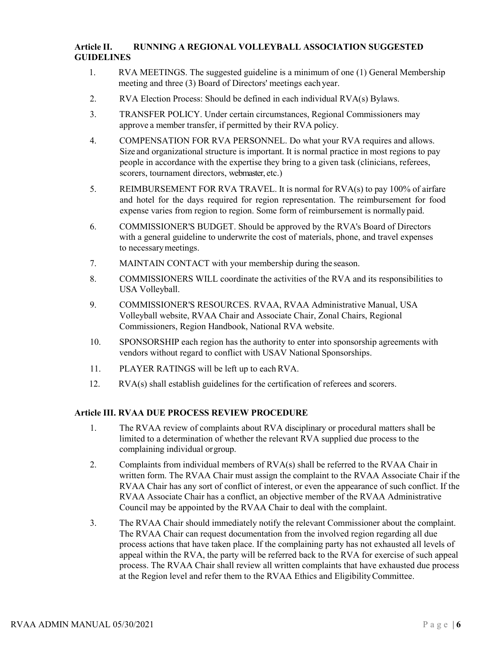## **Article II. RUNNING A REGIONAL VOLLEYBALL ASSOCIATION SUGGESTED GUIDELINES**

- 1. RVA MEETINGS. The suggested guideline is a minimum of one (1) General Membership meeting and three (3) Board of Directors' meetings each year.
- 2. RVA Election Process: Should be defined in each individual RVA(s) Bylaws.
- 3. TRANSFER POLICY. Under certain circumstances, Regional Commissioners may approve a member transfer, if permitted by their RVA policy.
- 4. COMPENSATION FOR RVA PERSONNEL. Do what your RVA requires and allows. Size and organizational structure is important. It is normal practice in most regions to pay people in accordance with the expertise they bring to a given task (clinicians, referees, scorers, tournament directors, webmaster, etc.)
- 5. REIMBURSEMENT FOR RVA TRAVEL. It is normal for RVA(s) to pay 100% of airfare and hotel for the days required for region representation. The reimbursement for food expense varies from region to region. Some form of reimbursement is normally paid.
- 6. COMMISSIONER'S BUDGET. Should be approved by the RVA's Board of Directors with a general guideline to underwrite the cost of materials, phone, and travel expenses to necessarymeetings.
- 7. MAINTAIN CONTACT with your membership during the season.
- 8. COMMISSIONERS WILL coordinate the activities of the RVA and its responsibilities to USA Volleyball.
- 9. COMMISSIONER'S RESOURCES. RVAA, RVAA Administrative Manual, USA Volleyball website, RVAA Chair and Associate Chair, Zonal Chairs, Regional Commissioners, Region Handbook, National RVA website.
- 10. SPONSORSHIP each region has the authority to enter into sponsorship agreements with vendors without regard to conflict with USAV National Sponsorships.
- 11. PLAYER RATINGS will be left up to each RVA.
- 12. RVA(s) shall establish guidelines for the certification of referees and scorers.

## **Article III. RVAA DUE PROCESS REVIEW PROCEDURE**

- 1. The RVAA review of complaints about RVA disciplinary or procedural matters shall be limited to a determination of whether the relevant RVA supplied due process to the complaining individual orgroup.
- 2. Complaints from individual members of RVA(s) shall be referred to the RVAA Chair in written form. The RVAA Chair must assign the complaint to the RVAA Associate Chair if the RVAA Chair has any sort of conflict of interest, or even the appearance of such conflict. If the RVAA Associate Chair has a conflict, an objective member of the RVAA Administrative Council may be appointed by the RVAA Chair to deal with the complaint.
- 3. The RVAA Chair should immediately notify the relevant Commissioner about the complaint. The RVAA Chair can request documentation from the involved region regarding all due process actions that have taken place. If the complaining party has not exhausted all levels of appeal within the RVA, the party will be referred back to the RVA for exercise of such appeal process. The RVAA Chair shall review all written complaints that have exhausted due process at the Region level and refer them to the RVAA Ethics and EligibilityCommittee.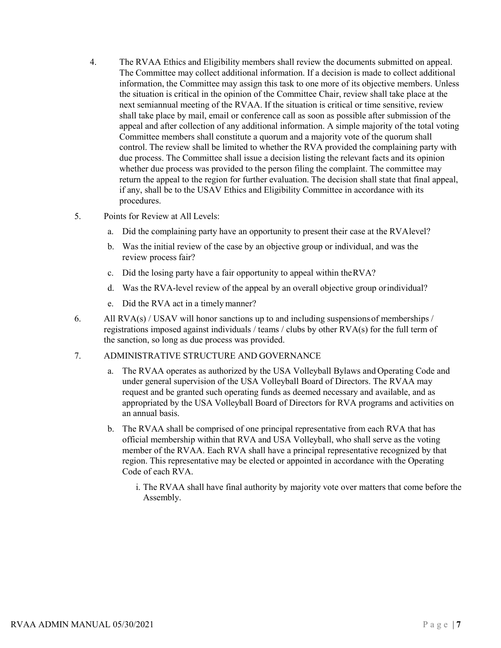- 4. The RVAA Ethics and Eligibility members shall review the documents submitted on appeal. The Committee may collect additional information. If a decision is made to collect additional information, the Committee may assign this task to one more of its objective members. Unless the situation is critical in the opinion of the Committee Chair, review shall take place at the next semiannual meeting of the RVAA. If the situation is critical or time sensitive, review shall take place by mail, email or conference call as soon as possible after submission of the appeal and after collection of any additional information. A simple majority of the total voting Committee members shall constitute a quorum and a majority vote of the quorum shall control. The review shall be limited to whether the RVA provided the complaining party with due process. The Committee shall issue a decision listing the relevant facts and its opinion whether due process was provided to the person filing the complaint. The committee may return the appeal to the region for further evaluation. The decision shall state that final appeal, if any, shall be to the USAV Ethics and Eligibility Committee in accordance with its procedures.
- 5. Points for Review at All Levels:
	- a. Did the complaining party have an opportunity to present their case at the RVAlevel?
	- b. Was the initial review of the case by an objective group or individual, and was the review process fair?
	- c. Did the losing party have a fair opportunity to appeal within theRVA?
	- d. Was the RVA-level review of the appeal by an overall objective group orindividual?
	- e. Did the RVA act in a timely manner?
- 6. All  $RVA(s)$  / USAV will honor sanctions up to and including suspensions of memberships / registrations imposed against individuals / teams / clubs by other RVA(s) for the full term of the sanction, so long as due process was provided.
- 7. ADMINISTRATIVE STRUCTURE AND GOVERNANCE
	- a. The RVAA operates as authorized by the USA Volleyball Bylaws and Operating Code and under general supervision of the USA Volleyball Board of Directors. The RVAA may request and be granted such operating funds as deemed necessary and available, and as appropriated by the USA Volleyball Board of Directors for RVA programs and activities on an annual basis.
	- b. The RVAA shall be comprised of one principal representative from each RVA that has official membership within that RVA and USA Volleyball, who shall serve as the voting member of the RVAA. Each RVA shall have a principal representative recognized by that region. This representative may be elected or appointed in accordance with the Operating Code of each RVA.
		- i. The RVAA shall have final authority by majority vote over matters that come before the Assembly.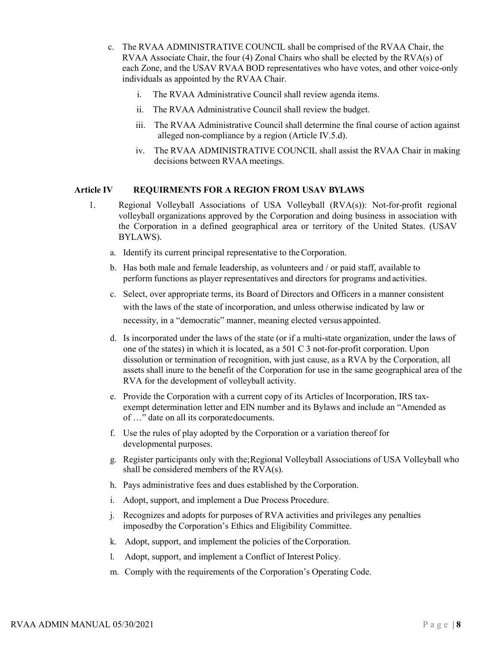- c. The RVAA ADMINISTRATIVE COUNCIL shall be comprised of the RVAA Chair, the RVAA Associate Chair, the four (4) Zonal Chairs who shall be elected by the RVA(s) of each Zone, and the USAV RVAA BOD representatives who have votes, and other voice-only individuals as appointed by the RVAA Chair.
	- i. The RVAA Administrative Council shall review agenda items.
	- ii. The RVAA Administrative Council shall review the budget.
	- iii. The RVAA Administrative Council shall determine the final course of action against alleged non-compliance by a region (Article IV.5.d).
	- iv. The RVAA ADMINISTRATIVE COUNCIL shall assist the RVAA Chair in making decisions between RVAA meetings.

## **Article IV REQUIRMENTS FOR A REGION FROM USAV BYLAWS**

- 1. Regional Volleyball Associations of USA Volleyball (RVA(s)): Not-for-profit regional volleyball organizations approved by the Corporation and doing business in association with the Corporation in a defined geographical area or territory of the United States. (USAV BYLAWS).
	- a. Identify its current principal representative to theCorporation.
	- b. Has both male and female leadership, as volunteers and / or paid staff, available to perform functions as player representatives and directors for programs and activities.
	- c. Select, over appropriate terms, its Board of Directors and Officers in a manner consistent with the laws of the state of incorporation, and unless otherwise indicated by law or necessity, in a "democratic" manner, meaning elected versus appointed.
	- d. Is incorporated under the laws of the state (or if a multi-state organization, under the laws of one of the states) in which it is located, as a 501 C 3 not-for-profit corporation. Upon dissolution or termination of recognition, with just cause, as a RVA by the Corporation, all assets shall inure to the benefit of the Corporation for use in the same geographical area of the RVA for the development of volleyball activity.
	- e. Provide the Corporation with a current copy of its Articles of Incorporation, IRS taxexempt determination letter and EIN number and its Bylaws and include an "Amended as of …" date on all its corporatedocuments.
	- f. Use the rules of play adopted by the Corporation or a variation thereof for developmental purposes.
	- g. Register participants only with the; Regional Volleyball Associations of USA Volleyball who shall be considered members of the RVA(s).
	- h. Pays administrative fees and dues established by the Corporation.
	- i. Adopt, support, and implement a Due Process Procedure.
	- j. Recognizes and adopts for purposes of RVA activities and privileges any penalties imposedby the Corporation's Ethics and Eligibility Committee.
	- k. Adopt, support, and implement the policies of theCorporation.
	- l. Adopt, support, and implement a Conflict of Interest Policy.
	- m. Comply with the requirements of the Corporation's Operating Code.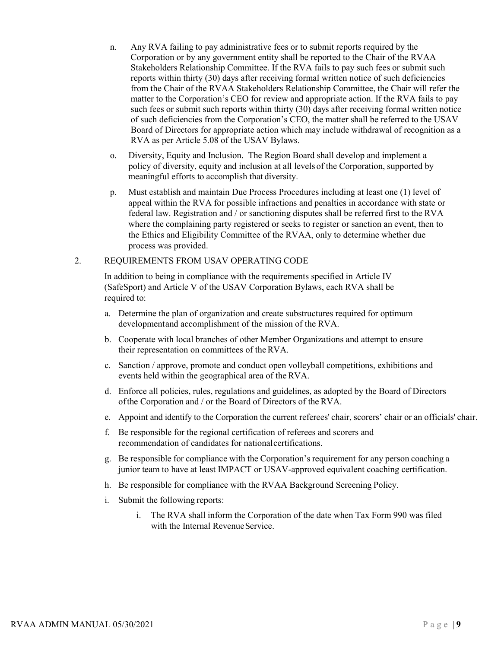- n. Any RVA failing to pay administrative fees or to submit reports required by the Corporation or by any government entity shall be reported to the Chair of the RVAA Stakeholders Relationship Committee. If the RVA fails to pay such fees or submit such reports within thirty (30) days after receiving formal written notice of such deficiencies from the Chair of the RVAA Stakeholders Relationship Committee, the Chair will refer the matter to the Corporation's CEO for review and appropriate action. If the RVA fails to pay such fees or submit such reports within thirty (30) days after receiving formal written notice of such deficiencies from the Corporation's CEO, the matter shall be referred to the USAV Board of Directors for appropriate action which may include withdrawal of recognition as a RVA as per Article 5.08 of the USAV Bylaws.
- o. Diversity, Equity and Inclusion. The Region Board shall develop and implement a policy of diversity, equity and inclusion at all levels of the Corporation, supported by meaningful efforts to accomplish that diversity.
- p. Must establish and maintain Due Process Procedures including at least one (1) level of appeal within the RVA for possible infractions and penalties in accordance with state or federal law. Registration and / or sanctioning disputes shall be referred first to the RVA where the complaining party registered or seeks to register or sanction an event, then to the Ethics and Eligibility Committee of the RVAA, only to determine whether due process was provided.

#### 2. REQUIREMENTS FROM USAV OPERATING CODE

In addition to being in compliance with the requirements specified in Article IV (SafeSport) and Article V of the USAV Corporation Bylaws, each RVA shall be required to:

- a. Determine the plan of organization and create substructures required for optimum developmentand accomplishment of the mission of the RVA.
- b. Cooperate with local branches of other Member Organizations and attempt to ensure their representation on committees of theRVA.
- c. Sanction / approve, promote and conduct open volleyball competitions, exhibitions and events held within the geographical area of the RVA.
- d. Enforce all policies, rules, regulations and guidelines, as adopted by the Board of Directors ofthe Corporation and / or the Board of Directors of the RVA.
- e. Appoint and identify to the Corporation the current referees' chair, scorers' chair or an officials' chair.
- f. Be responsible for the regional certification of referees and scorers and recommendation of candidates for nationalcertifications.
- g. Be responsible for compliance with the Corporation's requirement for any person coaching a junior team to have at least IMPACT or USAV-approved equivalent coaching certification.
- h. Be responsible for compliance with the RVAA Background Screening Policy.
- i. Submit the following reports:
	- i. The RVA shall inform the Corporation of the date when Tax Form 990 was filed with the Internal Revenue Service.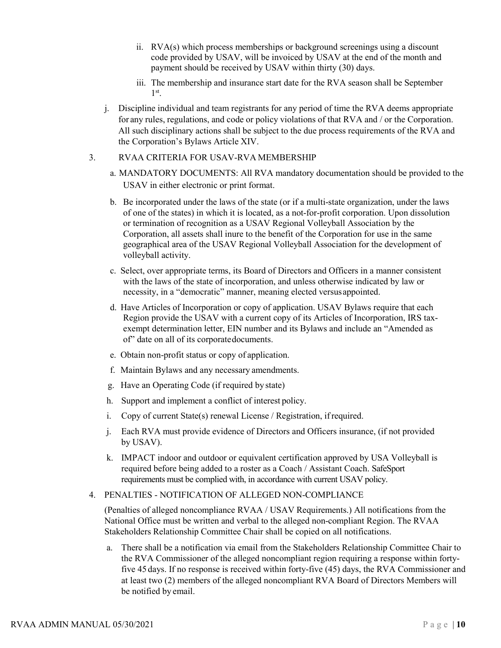- ii. RVA(s) which process memberships or background screenings using a discount code provided by USAV, will be invoiced by USAV at the end of the month and payment should be received by USAV within thirty (30) days.
- iii. The membership and insurance start date for the RVA season shall be September  $1<sup>st</sup>$ .
- j. Discipline individual and team registrants for any period of time the RVA deems appropriate for any rules, regulations, and code or policy violations of that RVA and / or the Corporation. All such disciplinary actions shall be subject to the due process requirements of the RVA and the Corporation's Bylaws Article XIV.

## 3. RVAA CRITERIA FOR USAV-RVA MEMBERSHIP

- a. MANDATORY DOCUMENTS: All RVA mandatory documentation should be provided to the USAV in either electronic or print format.
- b. Be incorporated under the laws of the state (or if a multi-state organization, under the laws of one of the states) in which it is located, as a not-for-profit corporation. Upon dissolution or termination of recognition as a USAV Regional Volleyball Association by the Corporation, all assets shall inure to the benefit of the Corporation for use in the same geographical area of the USAV Regional Volleyball Association for the development of volleyball activity.
- c. Select, over appropriate terms, its Board of Directors and Officers in a manner consistent with the laws of the state of incorporation, and unless otherwise indicated by law or necessity, in a "democratic" manner, meaning elected versusappointed.
- d. Have Articles of Incorporation or copy of application. USAV Bylaws require that each Region provide the USAV with a current copy of its Articles of Incorporation, IRS taxexempt determination letter, EIN number and its Bylaws and include an "Amended as of" date on all of its corporatedocuments.
- e. Obtain non-profit status or copy of application.
- f. Maintain Bylaws and any necessary amendments.
- g. Have an Operating Code (if required by state)
- h. Support and implement a conflict of interest policy.
- i. Copy of current State(s) renewal License / Registration, ifrequired.
- j. Each RVA must provide evidence of Directors and Officers insurance, (if not provided by USAV).
- k. IMPACT indoor and outdoor or equivalent certification approved by USA Volleyball is required before being added to a roster as a Coach / Assistant Coach. SafeSport requirements must be complied with, in accordance with current USAV policy.

## 4. PENALTIES - NOTIFICATION OF ALLEGED NON-COMPLIANCE

(Penalties of alleged noncompliance RVAA / USAV Requirements.) All notifications from the National Office must be written and verbal to the alleged non-compliant Region. The RVAA Stakeholders Relationship Committee Chair shall be copied on all notifications.

a. There shall be a notification via email from the Stakeholders Relationship Committee Chair to the RVA Commissioner of the alleged noncompliant region requiring a response within fortyfive 45 days. If no response is received within forty-five (45) days, the RVA Commissioner and at least two (2) members of the alleged noncompliant RVA Board of Directors Members will be notified by email.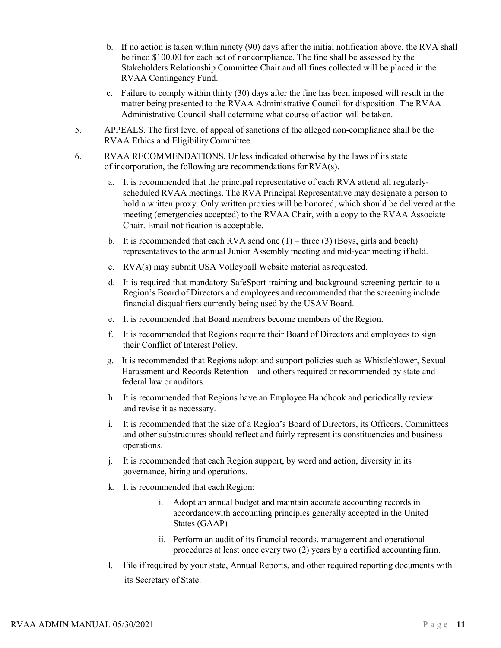- b. If no action is taken within ninety (90) days after the initial notification above, the RVA shall be fined \$100.00 for each act of noncompliance. The fine shall be assessed by the Stakeholders Relationship Committee Chair and all fines collected will be placed in the RVAA Contingency Fund.
- c. Failure to comply within thirty (30) days after the fine has been imposed will result in the matter being presented to the RVAA Administrative Council for disposition. The RVAA Administrative Council shall determine what course of action will be taken.
- 5. APPEALS. The first level of appeal of sanctions of the alleged non-compliance shall be the RVAA Ethics and EligibilityCommittee.
- 6. RVAA RECOMMENDATIONS. Unless indicated otherwise by the laws of its state of incorporation, the following are recommendations forRVA(s).
	- a. It is recommended that the principal representative of each RVA attend all regularlyscheduled RVAA meetings. The RVA Principal Representative may designate a person to hold a written proxy. Only written proxies will be honored, which should be delivered at the meeting (emergencies accepted) to the RVAA Chair, with a copy to the RVAA Associate Chair. Email notification is acceptable.
	- b. It is recommended that each RVA send one  $(1)$  three (3) (Boys, girls and beach) representatives to the annual Junior Assembly meeting and mid-year meeting if held.
	- c. RVA(s) may submit USA Volleyball Website material asrequested.
	- d. It is required that mandatory SafeSport training and background screening pertain to a Region's Board of Directors and employees and recommended that the screening include financial disqualifiers currently being used by the USAV Board.
	- e. It is recommended that Board members become members of the Region.
	- f. It is recommended that Regions require their Board of Directors and employees to sign their Conflict of Interest Policy.
	- g. It is recommended that Regions adopt and support policies such as Whistleblower, Sexual Harassment and Records Retention – and others required or recommended by state and federal law or auditors.
	- h. It is recommended that Regions have an Employee Handbook and periodically review and revise it as necessary.
	- i. It is recommended that the size of a Region's Board of Directors, its Officers, Committees and other substructures should reflect and fairly represent its constituencies and business operations.
	- j. It is recommended that each Region support, by word and action, diversity in its governance, hiring and operations.
	- k. It is recommended that each Region:
		- i. Adopt an annual budget and maintain accurate accounting records in accordancewith accounting principles generally accepted in the United States (GAAP)
		- ii. Perform an audit of its financial records, management and operational procedures at least once every two (2) years by a certified accounting firm.
	- l. File if required by your state, Annual Reports, and other required reporting documents with its Secretary of State.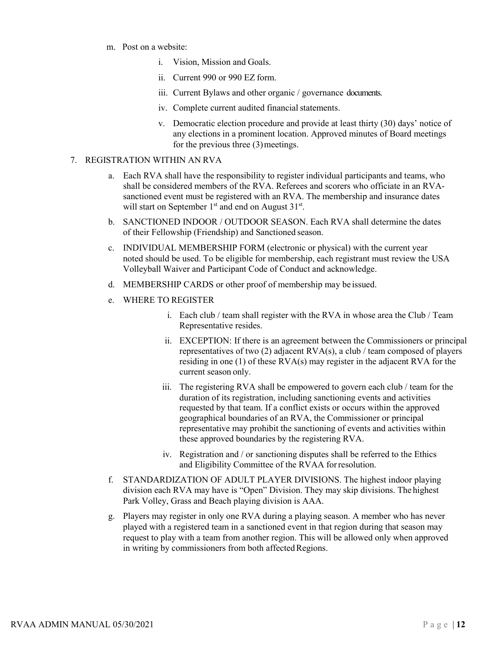- m. Post on a website:
	- i. Vision, Mission and Goals.
	- ii. Current 990 or 990 EZ form.
	- iii. Current Bylaws and other organic / governance documents.
	- iv. Complete current audited financial statements.
	- v. Democratic election procedure and provide at least thirty (30) days' notice of any elections in a prominent location. Approved minutes of Board meetings for the previous three (3) meetings.

#### 7. REGISTRATION WITHIN AN RVA

- a. Each RVA shall have the responsibility to register individual participants and teams, who shall be considered members of the RVA. Referees and scorers who officiate in an RVAsanctioned event must be registered with an RVA. The membership and insurance dates will start on September 1<sup>st</sup> and end on August 31<sup>st</sup>.
- b. SANCTIONED INDOOR / OUTDOOR SEASON. Each RVA shall determine the dates of their Fellowship (Friendship) and Sanctioned season.
- c. INDIVIDUAL MEMBERSHIP FORM (electronic or physical) with the current year noted should be used. To be eligible for membership, each registrant must review the USA Volleyball Waiver and Participant Code of Conduct and acknowledge.
- d. MEMBERSHIP CARDS or other proof of membership may be issued.
- e. WHERE TO REGISTER
	- i. Each club / team shall register with the RVA in whose area the Club / Team Representative resides.
	- ii. EXCEPTION: If there is an agreement between the Commissioners or principal representatives of two (2) adjacent RVA(s), a club / team composed of players residing in one (1) of these RVA(s) may register in the adjacent RVA for the current season only.
	- iii. The registering RVA shall be empowered to govern each club / team for the duration of its registration, including sanctioning events and activities requested by that team. If a conflict exists or occurs within the approved geographical boundaries of an RVA, the Commissioner or principal representative may prohibit the sanctioning of events and activities within these approved boundaries by the registering RVA.
	- iv. Registration and / or sanctioning disputes shall be referred to the Ethics and Eligibility Committee of the RVAA forresolution.
- f. STANDARDIZATION OF ADULT PLAYER DIVISIONS. The highest indoor playing division each RVA may have is "Open" Division. They may skip divisions. The highest Park Volley, Grass and Beach playing division is AAA.
- g. Players may register in only one RVA during a playing season. A member who has never played with a registered team in a sanctioned event in that region during that season may request to play with a team from another region. This will be allowed only when approved in writing by commissioners from both affected Regions.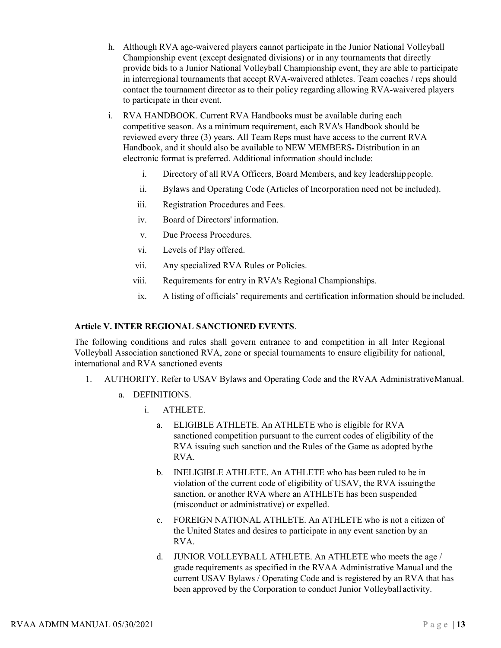- h. Although RVA age-waivered players cannot participate in the Junior National Volleyball Championship event (except designated divisions) or in any tournaments that directly provide bids to a Junior National Volleyball Championship event, they are able to participate in interregional tournaments that accept RVA-waivered athletes. Team coaches / reps should contact the tournament director as to their policy regarding allowing RVA-waivered players to participate in their event.
- i. RVA HANDBOOK. Current RVA Handbooks must be available during each competitive season. As a minimum requirement, each RVA's Handbook should be reviewed every three (3) years. All Team Reps must have access to the current RVA Handbook, and it should also be available to NEW MEMBERS. Distribution in an electronic format is preferred. Additional information should include:
	- i. Directory of all RVA Officers, Board Members, and key leadershippeople.
	- ii. Bylaws and Operating Code (Articles of Incorporation need not be included).
	- iii. Registration Procedures and Fees.
	- iv. Board of Directors' information.
	- v. Due Process Procedures.
	- vi. Levels of Play offered.
	- vii. Any specialized RVA Rules or Policies.
	- viii. Requirements for entry in RVA's Regional Championships.
	- ix. A listing of officials' requirements and certification information should be included.

#### **Article V. INTER REGIONAL SANCTIONED EVENTS**.

The following conditions and rules shall govern entrance to and competition in all Inter Regional Volleyball Association sanctioned RVA, zone or special tournaments to ensure eligibility for national, international and RVA sanctioned events

- 1. AUTHORITY. Refer to USAV Bylaws and Operating Code and the RVAA AdministrativeManual.
	- a. DEFINITIONS.
		- i. ATHLETE.
			- a. ELIGIBLE ATHLETE. An ATHLETE who is eligible for RVA sanctioned competition pursuant to the current codes of eligibility of the RVA issuing such sanction and the Rules of the Game as adopted bythe RVA.
			- b. INELIGIBLE ATHLETE. An ATHLETE who has been ruled to be in violation of the current code of eligibility of USAV, the RVA issuingthe sanction, or another RVA where an ATHLETE has been suspended (misconduct or administrative) or expelled.
			- c. FOREIGN NATIONAL ATHLETE. An ATHLETE who is not a citizen of the United States and desires to participate in any event sanction by an RVA.
			- d. JUNIOR VOLLEYBALL ATHLETE. An ATHLETE who meets the age / grade requirements as specified in the RVAA Administrative Manual and the current USAV Bylaws / Operating Code and is registered by an RVA that has been approved by the Corporation to conduct Junior Volleyball activity.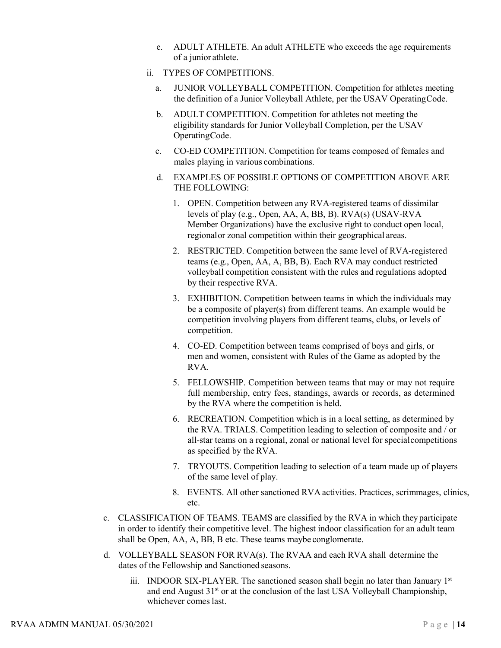- e. ADULT ATHLETE. An adult ATHLETE who exceeds the age requirements of a junior athlete.
- ii. TYPES OF COMPETITIONS.
	- a. JUNIOR VOLLEYBALL COMPETITION. Competition for athletes meeting the definition of a Junior Volleyball Athlete, per the USAV OperatingCode.
	- b. ADULT COMPETITION. Competition for athletes not meeting the eligibility standards for Junior Volleyball Completion, per the USAV OperatingCode.
	- c. CO-ED COMPETITION. Competition for teams composed of females and males playing in various combinations.
	- d. EXAMPLES OF POSSIBLE OPTIONS OF COMPETITION ABOVE ARE THE FOLLOWING:
		- 1. OPEN. Competition between any RVA-registered teams of dissimilar levels of play (e.g., Open, AA, A, BB, B). RVA(s) (USAV-RVA Member Organizations) have the exclusive right to conduct open local, regionalor zonal competition within their geographical areas.
		- 2. RESTRICTED. Competition between the same level of RVA-registered teams (e.g., Open, AA, A, BB, B). Each RVA may conduct restricted volleyball competition consistent with the rules and regulations adopted by their respective RVA.
		- 3. EXHIBITION. Competition between teams in which the individuals may be a composite of player(s) from different teams. An example would be competition involving players from different teams, clubs, or levels of competition.
		- 4. CO-ED. Competition between teams comprised of boys and girls, or men and women, consistent with Rules of the Game as adopted by the RVA.
		- 5. FELLOWSHIP. Competition between teams that may or may not require full membership, entry fees, standings, awards or records, as determined by the RVA where the competition is held.
		- 6. RECREATION. Competition which is in a local setting, as determined by the RVA. TRIALS. Competition leading to selection of composite and / or all-star teams on a regional, zonal or national level for specialcompetitions as specified by the RVA.
		- 7. TRYOUTS. Competition leading to selection of a team made up of players of the same level of play.
		- 8. EVENTS. All other sanctioned RVA activities. Practices, scrimmages, clinics, etc.
- c. CLASSIFICATION OF TEAMS. TEAMS are classified by the RVA in which they participate in order to identify their competitive level. The highest indoor classification for an adult team shall be Open, AA, A, BB, B etc. These teams maybe conglomerate.
- d. VOLLEYBALL SEASON FOR RVA(s). The RVAA and each RVA shall determine the dates of the Fellowship and Sanctioned seasons.
	- iii. INDOOR SIX-PLAYER. The sanctioned season shall begin no later than January  $1<sup>st</sup>$ and end August 31<sup>st</sup> or at the conclusion of the last USA Volleyball Championship, whichever comes last.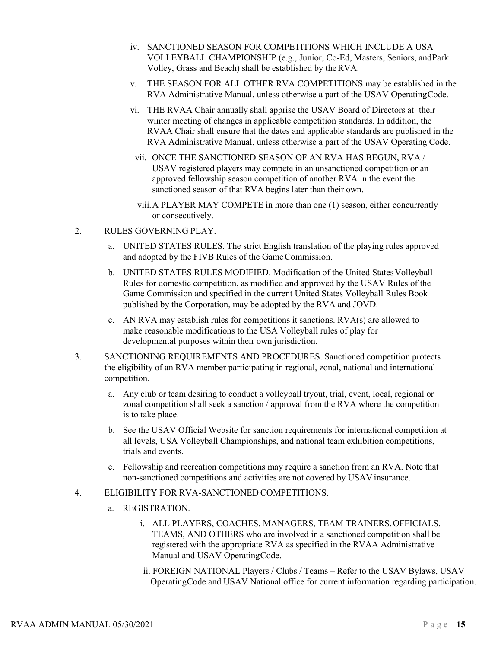- iv. SANCTIONED SEASON FOR COMPETITIONS WHICH INCLUDE A USA VOLLEYBALL CHAMPIONSHIP (e.g., Junior, Co-Ed, Masters, Seniors, andPark Volley, Grass and Beach) shall be established by theRVA.
- v. THE SEASON FOR ALL OTHER RVA COMPETITIONS may be established in the RVA Administrative Manual, unless otherwise a part of the USAV OperatingCode.
- vi. THE RVAA Chair annually shall apprise the USAV Board of Directors at their winter meeting of changes in applicable competition standards. In addition, the RVAA Chair shall ensure that the dates and applicable standards are published in the RVA Administrative Manual, unless otherwise a part of the USAV Operating Code.
- vii. ONCE THE SANCTIONED SEASON OF AN RVA HAS BEGUN, RVA / USAV registered players may compete in an unsanctioned competition or an approved fellowship season competition of another RVA in the event the sanctioned season of that RVA begins later than their own.
- viii.A PLAYER MAY COMPETE in more than one (1) season, either concurrently or consecutively.
- 2. RULES GOVERNING PLAY.
	- a. UNITED STATES RULES. The strict English translation of the playing rules approved and adopted by the FIVB Rules of the GameCommission.
	- b. UNITED STATES RULES MODIFIED. Modification of the United States Volleyball Rules for domestic competition, as modified and approved by the USAV Rules of the Game Commission and specified in the current United States Volleyball Rules Book published by the Corporation, may be adopted by the RVA and JOVD.
	- c. AN RVA may establish rules for competitions it sanctions. RVA(s) are allowed to make reasonable modifications to the USA Volleyball rules of play for developmental purposes within their own jurisdiction.
- 3. SANCTIONING REQUIREMENTS AND PROCEDURES. Sanctioned competition protects the eligibility of an RVA member participating in regional, zonal, national and international competition.
	- a. Any club or team desiring to conduct a volleyball tryout, trial, event, local, regional or zonal competition shall seek a sanction / approval from the RVA where the competition is to take place.
	- b. See the USAV Official Website for sanction requirements for international competition at all levels, USA Volleyball Championships, and national team exhibition competitions, trials and events.
	- c. Fellowship and recreation competitions may require a sanction from an RVA. Note that non-sanctioned competitions and activities are not covered by USAV insurance.
- 4. ELIGIBILITY FOR RVA-SANCTIONED COMPETITIONS.
	- a. REGISTRATION.
		- i. ALL PLAYERS, COACHES, MANAGERS, TEAM TRAINERS,OFFICIALS, TEAMS, AND OTHERS who are involved in a sanctioned competition shall be registered with the appropriate RVA as specified in the RVAA Administrative Manual and USAV OperatingCode.
		- ii. FOREIGN NATIONAL Players / Clubs / Teams Refer to the USAV Bylaws, USAV OperatingCode and USAV National office for current information regarding participation.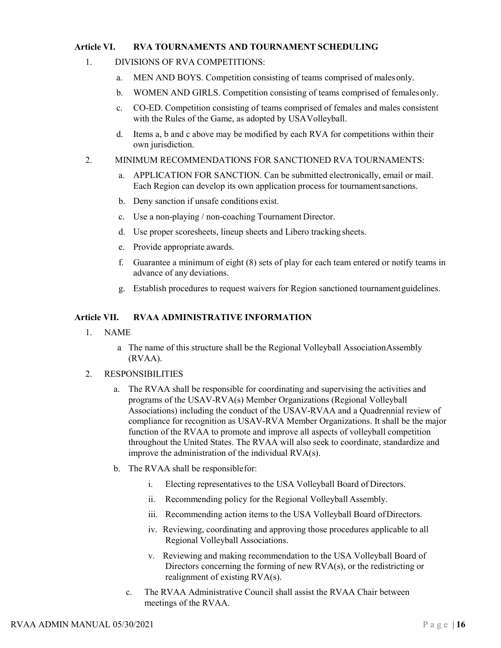#### <span id="page-15-0"></span>**Article VI. RVA TOURNAMENTS AND TOURNAMENT SCHEDULING**

- 1. DIVISIONS OF RVA COMPETITIONS:
	- a. MEN AND BOYS. Competition consisting of teams comprised of malesonly.
	- b. WOMEN AND GIRLS. Competition consisting of teams comprised of femalesonly.
	- c. CO-ED. Competition consisting of teams comprised of females and males consistent with the Rules of the Game, as adopted by USAVolleyball.
	- d. Items a, b and c above may be modified by each RVA for competitions within their own jurisdiction.
- 2. MINIMUM RECOMMENDATIONS FOR SANCTIONED RVA TOURNAMENTS:
	- a. APPLICATION FOR SANCTION. Can be submitted electronically, email or mail. Each Region can develop its own application process for tournamentsanctions.
	- b. Deny sanction if unsafe conditions exist.
	- c. Use a non-playing / non-coaching Tournament Director.
	- d. Use proper scoresheets, lineup sheets and Libero tracking sheets.
	- e. Provide appropriate awards.
	- f. Guarantee a minimum of eight (8) sets of play for each team entered or notify teams in advance of any deviations.
	- g. Establish procedures to request waivers for Region sanctioned tournamentguidelines.

#### <span id="page-15-1"></span>**Article VII. RVAA ADMINISTRATIVE INFORMATION**

- 1. NAME
	- a The name of this structure shall be the Regional Volleyball AssociationAssembly (RVAA).
- 2. RESPONSIBILITIES
	- a. The RVAA shall be responsible for coordinating and supervising the activities and programs of the USAV-RVA(s) Member Organizations (Regional Volleyball Associations) including the conduct of the USAV-RVAA and a Quadrennial review of compliance for recognition as USAV-RVA Member Organizations. It shall be the major function of the RVAA to promote and improve all aspects of volleyball competition throughout the United States. The RVAA will also seek to coordinate, standardize and improve the administration of the individual RVA(s).
	- b. The RVAA shall be responsiblefor:
		- i. Electing representatives to the USA Volleyball Board of Directors.
		- ii. Recommending policy for the Regional Volleyball Assembly.
		- iii. Recommending action items to the USA Volleyball Board ofDirectors.
		- iv. Reviewing, coordinating and approving those procedures applicable to all Regional Volleyball Associations.
		- v. Reviewing and making recommendation to the USA Volleyball Board of Directors concerning the forming of new RVA(s), or the redistricting or realignment of existing RVA(s).
		- c. The RVAA Administrative Council shall assist the RVAA Chair between meetings of the RVAA.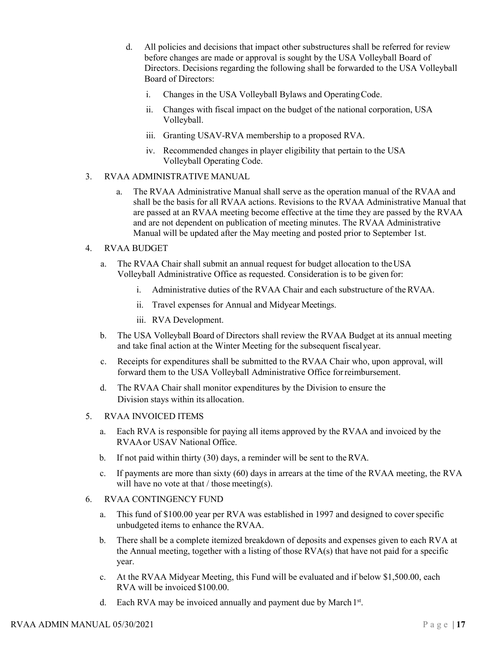- d. All policies and decisions that impact other substructures shall be referred for review before changes are made or approval is sought by the USA Volleyball Board of Directors. Decisions regarding the following shall be forwarded to the USA Volleyball Board of Directors:
	- i. Changes in the USA Volleyball Bylaws and OperatingCode.
	- ii. Changes with fiscal impact on the budget of the national corporation, USA Volleyball.
	- iii. Granting USAV-RVA membership to a proposed RVA.
	- iv. Recommended changes in player eligibility that pertain to the USA Volleyball Operating Code.

#### 3. RVAA ADMINISTRATIVE MANUAL

a. The RVAA Administrative Manual shall serve as the operation manual of the RVAA and shall be the basis for all RVAA actions. Revisions to the RVAA Administrative Manual that are passed at an RVAA meeting become effective at the time they are passed by the RVAA and are not dependent on publication of meeting minutes. The RVAA Administrative Manual will be updated after the May meeting and posted prior to September 1st.

## 4. RVAA BUDGET

- a. The RVAA Chair shall submit an annual request for budget allocation to theUSA Volleyball Administrative Office as requested. Consideration is to be given for:
	- i. Administrative duties of the RVAA Chair and each substructure of theRVAA.
	- ii. Travel expenses for Annual and Midyear Meetings.
	- iii. RVA Development.
- b. The USA Volleyball Board of Directors shall review the RVAA Budget at its annual meeting and take final action at the Winter Meeting for the subsequent fiscalyear.
- c. Receipts for expenditures shall be submitted to the RVAA Chair who, upon approval, will forward them to the USA Volleyball Administrative Office forreimbursement.
- d. The RVAA Chair shall monitor expenditures by the Division to ensure the Division stays within its allocation.

#### 5. RVAA INVOICED ITEMS

- a. Each RVA is responsible for paying all items approved by the RVAA and invoiced by the RVAAor USAV National Office.
- b. If not paid within thirty (30) days, a reminder will be sent to theRVA.
- c. If payments are more than sixty (60) days in arrears at the time of the RVAA meeting, the RVA will have no vote at that  $\ell$  those meeting(s).

#### 6. RVAA CONTINGENCY FUND

- a. This fund of \$100.00 year per RVA was established in 1997 and designed to coverspecific unbudgeted items to enhance the RVAA.
- b. There shall be a complete itemized breakdown of deposits and expenses given to each RVA at the Annual meeting, together with a listing of those  $RVA(s)$  that have not paid for a specific year.
- c. At the RVAA Midyear Meeting, this Fund will be evaluated and if below \$1,500.00, each RVA will be invoiced \$100.00.
- d. Each RVA may be invoiced annually and payment due by March  $1<sup>st</sup>$ .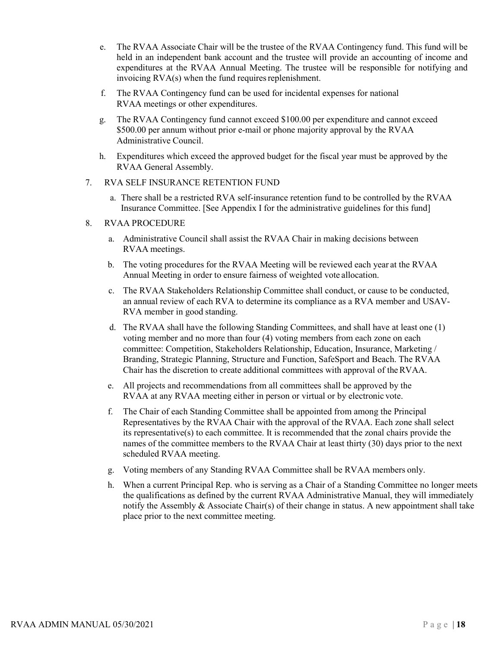- e. The RVAA Associate Chair will be the trustee of the RVAA Contingency fund. This fund will be held in an independent bank account and the trustee will provide an accounting of income and expenditures at the RVAA Annual Meeting. The trustee will be responsible for notifying and invoicing  $RVA(s)$  when the fund requires replenishment.
- f. The RVAA Contingency fund can be used for incidental expenses for national RVAA meetings or other expenditures.
- g. The RVAA Contingency fund cannot exceed \$100.00 per expenditure and cannot exceed \$500.00 per annum without prior e-mail or phone majority approval by the RVAA Administrative Council.
- h. Expenditures which exceed the approved budget for the fiscal year must be approved by the RVAA General Assembly.

#### 7. RVA SELF INSURANCE RETENTION FUND

a. There shall be a restricted RVA self-insurance retention fund to be controlled by the RVAA Insurance Committee. [See Appendix I for the administrative guidelines for this fund]

#### 8. RVAA PROCEDURE

- a. Administrative Council shall assist the RVAA Chair in making decisions between RVAA meetings.
- b. The voting procedures for the RVAA Meeting will be reviewed each year at the RVAA Annual Meeting in order to ensure fairness of weighted vote allocation.
- c. The RVAA Stakeholders Relationship Committee shall conduct, or cause to be conducted, an annual review of each RVA to determine its compliance as a RVA member and USAV-RVA member in good standing.
- d. The RVAA shall have the following Standing Committees, and shall have at least one (1) voting member and no more than four (4) voting members from each zone on each committee: Competition, Stakeholders Relationship, Education, Insurance, Marketing / Branding, Strategic Planning, Structure and Function, SafeSport and Beach. The RVAA Chair has the discretion to create additional committees with approval of theRVAA.
- e. All projects and recommendations from all committees shall be approved by the RVAA at any RVAA meeting either in person or virtual or by electronic vote.
- f. The Chair of each Standing Committee shall be appointed from among the Principal Representatives by the RVAA Chair with the approval of the RVAA. Each zone shall select its representative(s) to each committee. It is recommended that the zonal chairs provide the names of the committee members to the RVAA Chair at least thirty (30) days prior to the next scheduled RVAA meeting.
- g. Voting members of any Standing RVAA Committee shall be RVAA members only.
- h. When a current Principal Rep. who is serving as a Chair of a Standing Committee no longer meets the qualifications as defined by the current RVAA Administrative Manual, they will immediately notify the Assembly & Associate Chair(s) of their change in status. A new appointment shall take place prior to the next committee meeting.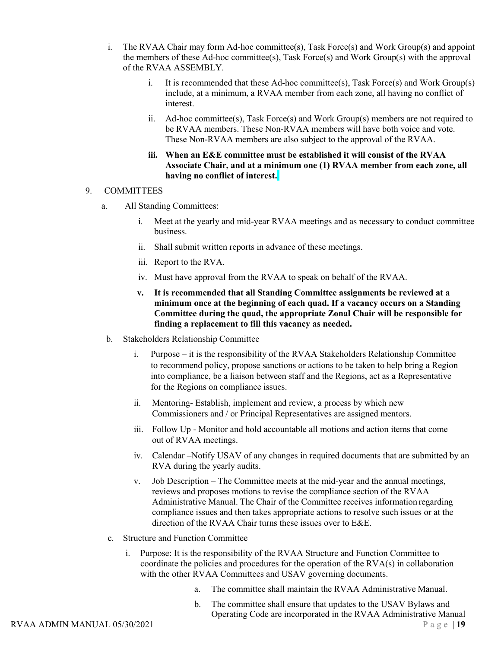- i. The RVAA Chair may form Ad-hoc committee(s), Task Force(s) and Work Group(s) and appoint the members of these Ad-hoc committee(s), Task Force(s) and Work Group(s) with the approval of the RVAA ASSEMBLY.
	- i. It is recommended that these Ad-hoc committee(s), Task Force(s) and Work Group(s) include, at a minimum, a RVAA member from each zone, all having no conflict of interest.
	- ii. Ad-hoc committee(s), Task Force(s) and Work Group(s) members are not required to be RVAA members. These Non-RVAA members will have both voice and vote. These Non-RVAA members are also subject to the approval of the RVAA.
	- **iii. When an E&E committee must be established it will consist of the RVAA Associate Chair, and at a minimum one (1) RVAA member from each zone, all having no conflict of interest.**

#### 9. COMMITTEES

- a. All Standing Committees:
	- i. Meet at the yearly and mid-year RVAA meetings and as necessary to conduct committee business.
	- ii. Shall submit written reports in advance of these meetings.
	- iii. Report to the RVA.
	- iv. Must have approval from the RVAA to speak on behalf of the RVAA.
	- **v. It is recommended that all Standing Committee assignments be reviewed at a minimum once at the beginning of each quad. If a vacancy occurs on a Standing Committee during the quad, the appropriate Zonal Chair will be responsible for finding a replacement to fill this vacancy as needed.**
- b. Stakeholders Relationship Committee
	- i. Purpose it is the responsibility of the RVAA Stakeholders Relationship Committee to recommend policy, propose sanctions or actions to be taken to help bring a Region into compliance, be a liaison between staff and the Regions, act as a Representative for the Regions on compliance issues.
	- ii. Mentoring- Establish, implement and review, a process by which new Commissioners and / or Principal Representatives are assigned mentors.
	- iii. Follow Up Monitor and hold accountable all motions and action items that come out of RVAA meetings.
	- iv. Calendar –Notify USAV of any changes in required documents that are submitted by an RVA during the yearly audits.
	- v. Job Description The Committee meets at the mid-year and the annual meetings, reviews and proposes motions to revise the compliance section of the RVAA Administrative Manual. The Chair of the Committee receives information regarding compliance issues and then takes appropriate actions to resolve such issues or at the direction of the RVAA Chair turns these issues over to E&E.
- c. Structure and Function Committee
	- i. Purpose: It is the responsibility of the RVAA Structure and Function Committee to coordinate the policies and procedures for the operation of the RVA(s) in collaboration with the other RVAA Committees and USAV governing documents.
		- a. The committee shall maintain the RVAA Administrative Manual.
		- b. The committee shall ensure that updates to the USAV Bylaws and Operating Code are incorporated in the RVAA Administrative Manual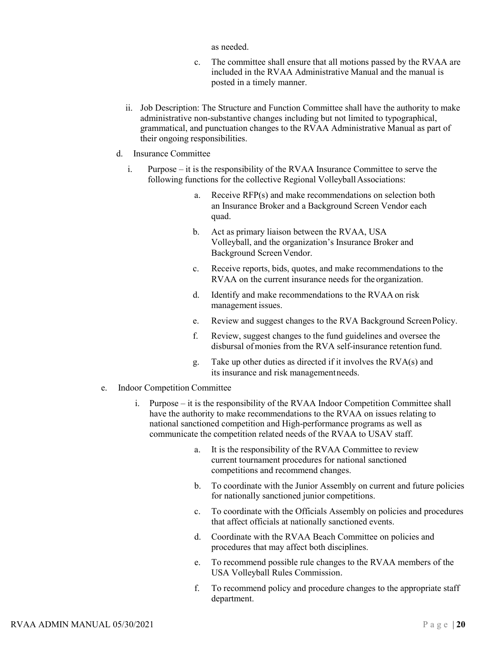as needed.

- c. The committee shall ensure that all motions passed by the RVAA are included in the RVAA Administrative Manual and the manual is posted in a timely manner.
- ii. Job Description: The Structure and Function Committee shall have the authority to make administrative non-substantive changes including but not limited to typographical, grammatical, and punctuation changes to the RVAA Administrative Manual as part of their ongoing responsibilities.
- d. Insurance Committee
	- i. Purpose it is the responsibility of the RVAA Insurance Committee to serve the following functions for the collective Regional Volleyball Associations:
		- a. Receive RFP(s) and make recommendations on selection both an Insurance Broker and a Background Screen Vendor each quad.
		- b. Act as primary liaison between the RVAA, USA Volleyball, and the organization's Insurance Broker and Background Screen Vendor.
		- c. Receive reports, bids, quotes, and make recommendations to the RVAA on the current insurance needs for the organization.
		- d. Identify and make recommendations to the RVAA on risk management issues.
		- e. Review and suggest changes to the RVA Background ScreenPolicy.
		- f. Review, suggest changes to the fund guidelines and oversee the disbursal ofmonies from the RVA self-insurance retention fund.
		- g. Take up other duties as directed if it involves the RVA(s) and its insurance and risk managementneeds.
- e. Indoor Competition Committee
	- i. Purpose it is the responsibility of the RVAA Indoor Competition Committee shall have the authority to make recommendations to the RVAA on issues relating to national sanctioned competition and High-performance programs as well as communicate the competition related needs of the RVAA to USAV staff.
		- a. It is the responsibility of the RVAA Committee to review current tournament procedures for national sanctioned competitions and recommend changes.
		- b. To coordinate with the Junior Assembly on current and future policies for nationally sanctioned junior competitions.
		- c. To coordinate with the Officials Assembly on policies and procedures that affect officials at nationally sanctioned events.
		- d. Coordinate with the RVAA Beach Committee on policies and procedures that may affect both disciplines.
		- e. To recommend possible rule changes to the RVAA members of the USA Volleyball Rules Commission.
		- f. To recommend policy and procedure changes to the appropriate staff department.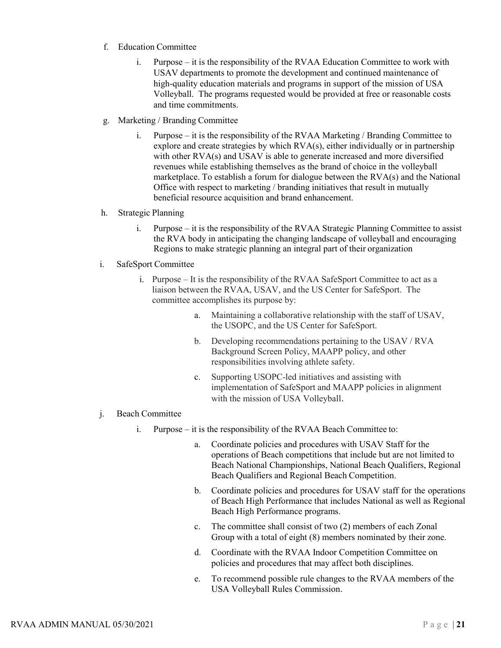- f. Education Committee
	- Purpose it is the responsibility of the RVAA Education Committee to work with USAV departments to promote the development and continued maintenance of high-quality education materials and programs in support of the mission of USA Volleyball. The programs requested would be provided at free or reasonable costs and time commitments.
- g. Marketing / Branding Committee
	- i. Purpose it is the responsibility of the RVAA Marketing  $\beta$  Branding Committee to explore and create strategies by which RVA(s), either individually or in partnership with other RVA(s) and USAV is able to generate increased and more diversified revenues while establishing themselves as the brand of choice in the volleyball marketplace. To establish a forum for dialogue between the RVA(s) and the National Office with respect to marketing / branding initiatives that result in mutually beneficial resource acquisition and brand enhancement.
- h. Strategic Planning
	- i. Purpose it is the responsibility of the RVAA Strategic Planning Committee to assist the RVA body in anticipating the changing landscape of volleyball and encouraging Regions to make strategic planning an integral part of their organization
- i. SafeSport Committee
	- i. Purpose It is the responsibility of the RVAA SafeSport Committee to act as a liaison between the RVAA, USAV, and the US Center for SafeSport. The committee accomplishes its purpose by:
		- a. Maintaining a collaborative relationship with the staff of USAV, the USOPC, and the US Center for SafeSport.
		- b. Developing recommendations pertaining to the USAV / RVA Background Screen Policy, MAAPP policy, and other responsibilities involving athlete safety.
		- c. Supporting USOPC-led initiatives and assisting with implementation of SafeSport and MAAPP policies in alignment with the mission of USA Volleyball.
- j. Beach Committee
	- i. Purpose it is the responsibility of the RVAA Beach Committee to:
		- a. Coordinate policies and procedures with USAV Staff for the operations of Beach competitions that include but are not limited to Beach National Championships, National Beach Qualifiers, Regional Beach Qualifiers and Regional Beach Competition.
		- b. Coordinate policies and procedures for USAV staff for the operations of Beach High Performance that includes National as well as Regional Beach High Performance programs.
		- c. The committee shall consist of two (2) members of each Zonal Group with a total of eight (8) members nominated by their zone.
		- d. Coordinate with the RVAA Indoor Competition Committee on policies and procedures that may affect both disciplines.
		- e. To recommend possible rule changes to the RVAA members of the USA Volleyball Rules Commission.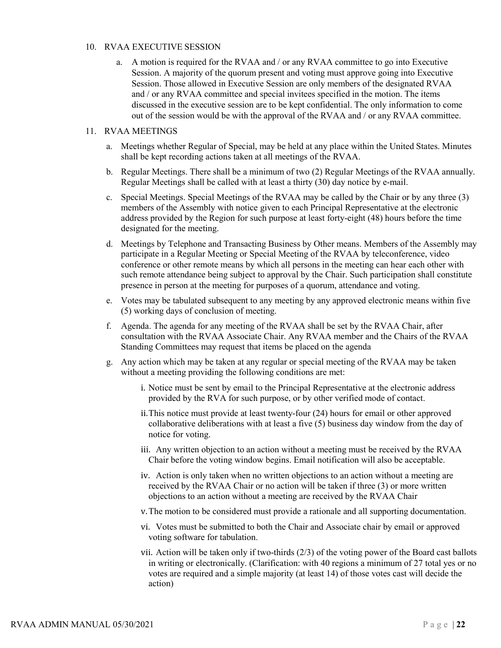#### 10. RVAA EXECUTIVE SESSION

a. A motion is required for the RVAA and / or any RVAA committee to go into Executive Session. A majority of the quorum present and voting must approve going into Executive Session. Those allowed in Executive Session are only members of the designated RVAA and / or any RVAA committee and special invitees specified in the motion. The items discussed in the executive session are to be kept confidential. The only information to come out of the session would be with the approval of the RVAA and / or any RVAA committee.

## 11. RVAA MEETINGS

- a. Meetings whether Regular of Special, may be held at any place within the United States. Minutes shall be kept recording actions taken at all meetings of the RVAA.
- b. Regular Meetings. There shall be a minimum of two (2) Regular Meetings of the RVAA annually. Regular Meetings shall be called with at least a thirty (30) day notice by e-mail.
- c. Special Meetings. Special Meetings of the RVAA may be called by the Chair or by any three (3) members of the Assembly with notice given to each Principal Representative at the electronic address provided by the Region for such purpose at least forty-eight (48) hours before the time designated for the meeting.
- d. Meetings by Telephone and Transacting Business by Other means. Members of the Assembly may participate in a Regular Meeting or Special Meeting of the RVAA by teleconference, video conference or other remote means by which all persons in the meeting can hear each other with such remote attendance being subject to approval by the Chair. Such participation shall constitute presence in person at the meeting for purposes of a quorum, attendance and voting.
- e. Votes may be tabulated subsequent to any meeting by any approved electronic means within five (5) working days of conclusion of meeting.
- f. Agenda. The agenda for any meeting of the RVAA shall be set by the RVAA Chair, after consultation with the RVAA Associate Chair. Any RVAA member and the Chairs of the RVAA Standing Committees may request that items be placed on the agenda
- g. Any action which may be taken at any regular or special meeting of the RVAA may be taken without a meeting providing the following conditions are met:
	- i. Notice must be sent by email to the Principal Representative at the electronic address provided by the RVA for such purpose, or by other verified mode of contact.
	- ii.This notice must provide at least twenty-four (24) hours for email or other approved collaborative deliberations with at least a five (5) business day window from the day of notice for voting.
	- iii. Any written objection to an action without a meeting must be received by the RVAA Chair before the voting window begins. Email notification will also be acceptable.
	- iv. Action is only taken when no written objections to an action without a meeting are received by the RVAA Chair or no action will be taken if three (3) or more written objections to an action without a meeting are received by the RVAA Chair
	- v.The motion to be considered must provide a rationale and all supporting documentation.
	- vi. Votes must be submitted to both the Chair and Associate chair by email or approved voting software for tabulation.
	- vii. Action will be taken only if two-thirds  $(2/3)$  of the voting power of the Board cast ballots in writing or electronically. (Clarification: with 40 regions a minimum of 27 total yes or no votes are required and a simple majority (at least 14) of those votes cast will decide the action)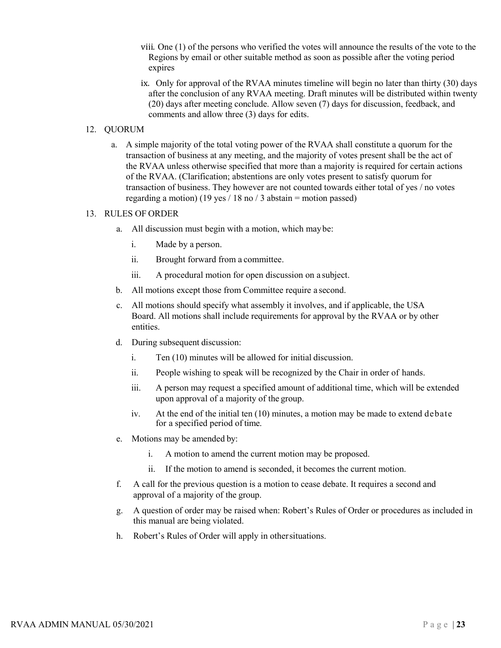- viii. One (1) of the persons who verified the votes will announce the results of the vote to the Regions by email or other suitable method as soon as possible after the voting period expires
- ix. Only for approval of the RVAA minutes timeline will begin no later than thirty (30) days after the conclusion of any RVAA meeting. Draft minutes will be distributed within twenty (20) days after meeting conclude. Allow seven (7) days for discussion, feedback, and comments and allow three (3) days for edits.

#### 12. QUORUM

a. A simple majority of the total voting power of the RVAA shall constitute a quorum for the transaction of business at any meeting, and the majority of votes present shall be the act of the RVAA unless otherwise specified that more than a majority is required for certain actions of the RVAA. (Clarification; abstentions are only votes present to satisfy quorum for transaction of business. They however are not counted towards either total of yes / no votes regarding a motion) (19 yes  $/$  18 no  $/$  3 abstain = motion passed)

#### 13. RULES OF ORDER

- a. All discussion must begin with a motion, which maybe:
	- i. Made by a person.
	- ii. Brought forward from a committee.
	- iii. A procedural motion for open discussion on a subject.
- b. All motions except those from Committee require a second.
- c. All motions should specify what assembly it involves, and if applicable, the USA Board. All motions shall include requirements for approval by the RVAA or by other entities.
- d. During subsequent discussion:
	- i. Ten (10) minutes will be allowed for initial discussion.
	- ii. People wishing to speak will be recognized by the Chair in order of hands.
	- iii. A person may request a specified amount of additional time, which will be extended upon approval of a majority of the group.
	- iv. At the end of the initial ten (10) minutes, a motion may be made to extend debate for a specified period of time.
- e. Motions may be amended by:
	- i. A motion to amend the current motion may be proposed.
	- ii. If the motion to amend is seconded, it becomes the current motion.
- f. A call for the previous question is a motion to cease debate. It requires a second and approval of a majority of the group.
- g. A question of order may be raised when: Robert's Rules of Order or procedures as included in this manual are being violated.
- h. Robert's Rules of Order will apply in othersituations.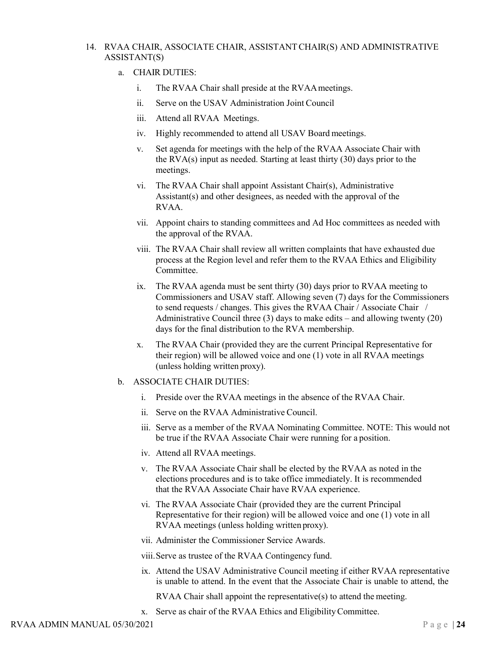#### 14. RVAA CHAIR, ASSOCIATE CHAIR, ASSISTANTCHAIR(S) AND ADMINISTRATIVE ASSISTANT(S)

- a. CHAIR DUTIES:
	- i. The RVAA Chair shall preside at the RVAAmeetings.
	- ii. Serve on the USAV Administration Joint Council
	- iii. Attend all RVAA Meetings.
	- iv. Highly recommended to attend all USAV Board meetings.
	- v. Set agenda for meetings with the help of the RVAA Associate Chair with the RVA(s) input as needed. Starting at least thirty (30) days prior to the meetings.
	- vi. The RVAA Chair shall appoint Assistant Chair(s), Administrative Assistant(s) and other designees, as needed with the approval of the RVAA.
	- vii. Appoint chairs to standing committees and Ad Hoc committees as needed with the approval of the RVAA.
	- viii. The RVAA Chair shall review all written complaints that have exhausted due process at the Region level and refer them to the RVAA Ethics and Eligibility Committee.
	- ix. The RVAA agenda must be sent thirty (30) days prior to RVAA meeting to Commissioners and USAV staff. Allowing seven (7) days for the Commissioners to send requests / changes. This gives the RVAA Chair / Associate Chair / Administrative Council three (3) days to make edits – and allowing twenty (20) days for the final distribution to the RVA membership.
	- x. The RVAA Chair (provided they are the current Principal Representative for their region) will be allowed voice and one (1) vote in all RVAA meetings (unless holding written proxy).
- b. ASSOCIATE CHAIR DUTIES:
	- i. Preside over the RVAA meetings in the absence of the RVAA Chair.
	- ii. Serve on the RVAA Administrative Council.
	- iii. Serve as a member of the RVAA Nominating Committee. NOTE: This would not be true if the RVAA Associate Chair were running for a position.
	- iv. Attend all RVAA meetings.
	- v. The RVAA Associate Chair shall be elected by the RVAA as noted in the elections procedures and is to take office immediately. It is recommended that the RVAA Associate Chair have RVAA experience.
	- vi. The RVAA Associate Chair (provided they are the current Principal Representative for their region) will be allowed voice and one (1) vote in all RVAA meetings (unless holding written proxy).
	- vii. Administer the Commissioner Service Awards.

viii.Serve as trustee of the RVAA Contingency fund.

ix. Attend the USAV Administrative Council meeting if either RVAA representative is unable to attend. In the event that the Associate Chair is unable to attend, the

RVAA Chair shall appoint the representative(s) to attend the meeting.

x. Serve as chair of the RVAA Ethics and EligibilityCommittee.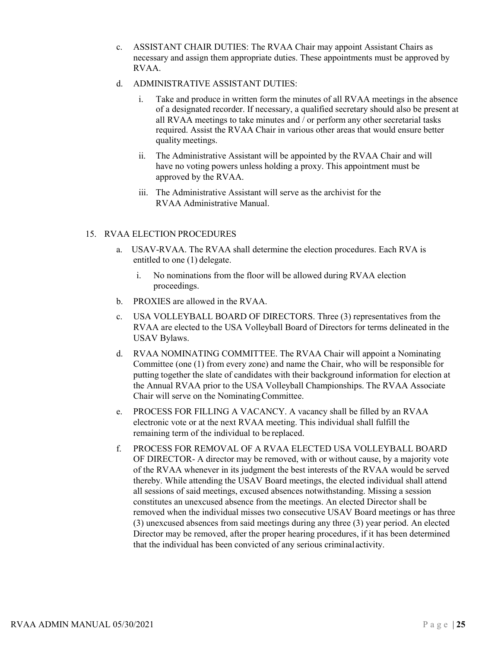- c. ASSISTANT CHAIR DUTIES: The RVAA Chair may appoint Assistant Chairs as necessary and assign them appropriate duties. These appointments must be approved by RVAA.
- d. ADMINISTRATIVE ASSISTANT DUTIES:
	- i. Take and produce in written form the minutes of all RVAA meetings in the absence of a designated recorder. If necessary, a qualified secretary should also be present at all RVAA meetings to take minutes and / or perform any other secretarial tasks required. Assist the RVAA Chair in various other areas that would ensure better quality meetings.
	- ii. The Administrative Assistant will be appointed by the RVAA Chair and will have no voting powers unless holding a proxy. This appointment must be approved by the RVAA.
	- iii. The Administrative Assistant will serve as the archivist for the RVAA Administrative Manual.

## 15. RVAA ELECTION PROCEDURES

- a. USAV-RVAA. The RVAA shall determine the election procedures. Each RVA is entitled to one (1) delegate.
	- i. No nominations from the floor will be allowed during RVAA election proceedings.
- b. PROXIES are allowed in the RVAA.
- c. USA VOLLEYBALL BOARD OF DIRECTORS. Three (3) representatives from the RVAA are elected to the USA Volleyball Board of Directors for terms delineated in the USAV Bylaws.
- d. RVAA NOMINATING COMMITTEE. The RVAA Chair will appoint a Nominating Committee (one (1) from every zone) and name the Chair, who will be responsible for putting together the slate of candidates with their background information for election at the Annual RVAA prior to the USA Volleyball Championships. The RVAA Associate Chair will serve on the NominatingCommittee.
- e. PROCESS FOR FILLING A VACANCY. A vacancy shall be filled by an RVAA electronic vote or at the next RVAA meeting. This individual shall fulfill the remaining term of the individual to be replaced.
- f. PROCESS FOR REMOVAL OF A RVAA ELECTED USA VOLLEYBALL BOARD OF DIRECTOR- A director may be removed, with or without cause, by a majority vote of the RVAA whenever in its judgment the best interests of the RVAA would be served thereby. While attending the USAV Board meetings, the elected individual shall attend all sessions of said meetings, excused absences notwithstanding. Missing a session constitutes an unexcused absence from the meetings. An elected Director shall be removed when the individual misses two consecutive USAV Board meetings or has three (3) unexcused absences from said meetings during any three (3) year period. An elected Director may be removed, after the proper hearing procedures, if it has been determined that the individual has been convicted of any serious criminalactivity.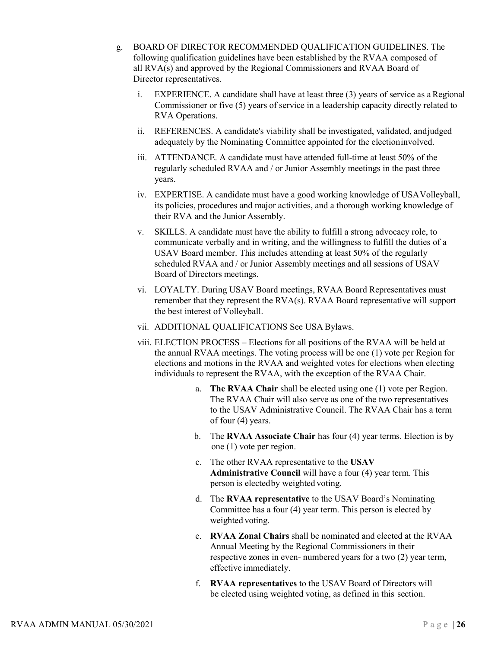- g. BOARD OF DIRECTOR RECOMMENDED QUALIFICATION GUIDELINES. The following qualification guidelines have been established by the RVAA composed of all RVA(s) and approved by the Regional Commissioners and RVAA Board of Director representatives.
	- i. EXPERIENCE. A candidate shall have at least three (3) years of service as aRegional Commissioner or five (5) years of service in a leadership capacity directly related to RVA Operations.
	- ii. REFERENCES. A candidate's viability shall be investigated, validated, andjudged adequately by the Nominating Committee appointed for the electioninvolved.
	- iii. ATTENDANCE. A candidate must have attended full-time at least 50% of the regularly scheduled RVAA and / or Junior Assembly meetings in the past three years.
	- iv. EXPERTISE. A candidate must have a good working knowledge of USAVolleyball, its policies, procedures and major activities, and a thorough working knowledge of their RVA and the Junior Assembly.
	- v. SKILLS. A candidate must have the ability to fulfill a strong advocacy role, to communicate verbally and in writing, and the willingness to fulfill the duties of a USAV Board member. This includes attending at least 50% of the regularly scheduled RVAA and / or Junior Assembly meetings and all sessions of USAV Board of Directors meetings.
	- vi. LOYALTY. During USAV Board meetings, RVAA Board Representatives must remember that they represent the RVA(s). RVAA Board representative will support the best interest of Volleyball.
	- vii. ADDITIONAL QUALIFICATIONS See USA Bylaws.
	- viii. ELECTION PROCESS Elections for all positions of the RVAA will be held at the annual RVAA meetings. The voting process will be one (1) vote per Region for elections and motions in the RVAA and weighted votes for elections when electing individuals to represent the RVAA, with the exception of the RVAA Chair.
		- a. **The RVAA Chair** shall be elected using one (1) vote per Region. The RVAA Chair will also serve as one of the two representatives to the USAV Administrative Council. The RVAA Chair has a term of four (4) years.
		- b. The **RVAA Associate Chair** has four (4) year terms. Election is by one (1) vote per region.
		- c. The other RVAA representative to the **USAV Administrative Council** will have a four (4) year term. This person is electedby weighted voting.
		- d. The **RVAA representative** to the USAV Board's Nominating Committee has a four (4) year term. This person is elected by weighted voting.
		- e. **RVAA Zonal Chairs** shall be nominated and elected at the RVAA Annual Meeting by the Regional Commissioners in their respective zones in even- numbered years for a two (2) year term, effective immediately.
		- f. **RVAA representatives** to the USAV Board of Directors will be elected using weighted voting, as defined in this section.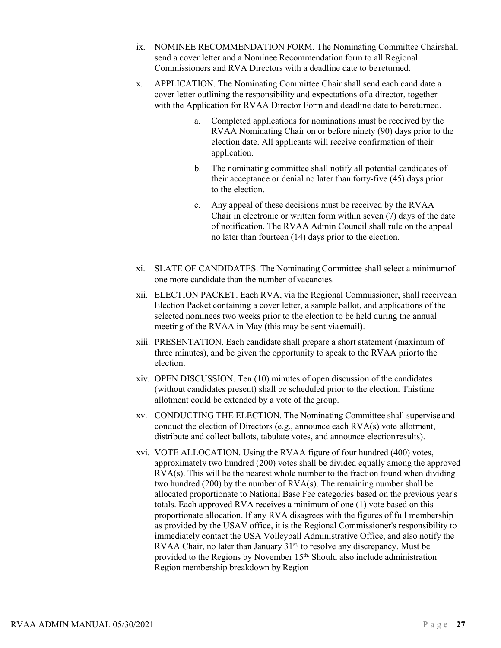- ix. NOMINEE RECOMMENDATION FORM. The Nominating Committee Chairshall send a cover letter and a Nominee Recommendation form to all Regional Commissioners and RVA Directors with a deadline date to bereturned.
- x. APPLICATION. The Nominating Committee Chair shall send each candidate a cover letter outlining the responsibility and expectations of a director, together with the Application for RVAA Director Form and deadline date to bereturned.
	- a. Completed applications for nominations must be received by the RVAA Nominating Chair on or before ninety (90) days prior to the election date. All applicants will receive confirmation of their application.
	- b. The nominating committee shall notify all potential candidates of their acceptance or denial no later than forty-five (45) days prior to the election.
	- c. Any appeal of these decisions must be received by the RVAA Chair in electronic or written form within seven (7) days of the date of notification. The RVAA Admin Council shall rule on the appeal no later than fourteen (14) days prior to the election.
- xi. SLATE OF CANDIDATES. The Nominating Committee shall select a minimumof one more candidate than the number of vacancies.
- xii. ELECTION PACKET. Each RVA, via the Regional Commissioner, shall receivean Election Packet containing a cover letter, a sample ballot, and applications of the selected nominees two weeks prior to the election to be held during the annual meeting of the RVAA in May (this may be sent viaemail).
- xiii. PRESENTATION. Each candidate shall prepare a short statement (maximum of three minutes), and be given the opportunity to speak to the RVAA priorto the election.
- xiv. OPEN DISCUSSION. Ten (10) minutes of open discussion of the candidates (without candidates present) shall be scheduled prior to the election. Thistime allotment could be extended by a vote of the group.
- xv. CONDUCTING THE ELECTION. The Nominating Committee shall supervise and conduct the election of Directors (e.g., announce each RVA(s) vote allotment, distribute and collect ballots, tabulate votes, and announce electionresults).
- xvi. VOTE ALLOCATION. Using the RVAA figure of four hundred (400) votes, approximately two hundred (200) votes shall be divided equally among the approved RVA(s). This will be the nearest whole number to the fraction found when dividing two hundred (200) by the number of RVA(s). The remaining number shall be allocated proportionate to National Base Fee categories based on the previous year's totals. Each approved RVA receives a minimum of one (1) vote based on this proportionate allocation. If any RVA disagrees with the figures of full membership as provided by the USAV office, it is the Regional Commissioner's responsibility to immediately contact the USA Volleyball Administrative Office, and also notify the RVAA Chair, no later than January  $31<sup>st</sup>$ , to resolve any discrepancy. Must be provided to the Regions by November  $15<sup>th</sup>$ . Should also include administration Region membership breakdown by Region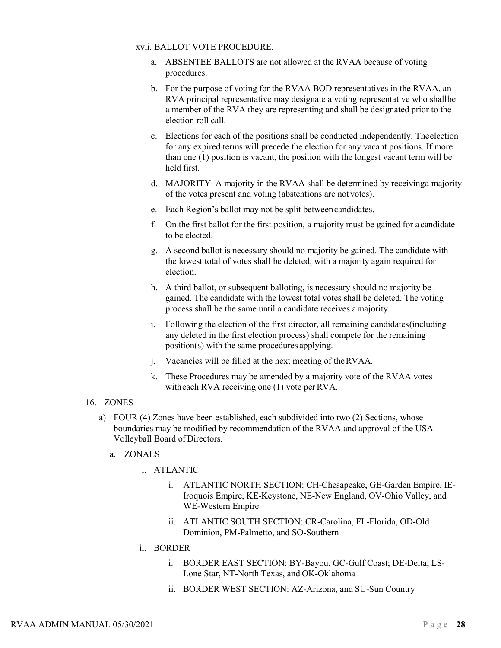#### xvii. BALLOT VOTE PROCEDURE.

- a. ABSENTEE BALLOTS are not allowed at the RVAA because of voting procedures.
- b. For the purpose of voting for the RVAA BOD representatives in the RVAA, an RVA principal representative may designate a voting representative who shallbe a member of the RVA they are representing and shall be designated prior to the election roll call.
- c. Elections for each of the positions shall be conducted independently. Theelection for any expired terms will precede the election for any vacant positions. If more than one (1) position is vacant, the position with the longest vacant term will be held first.
- d. MAJORITY. A majority in the RVAA shall be determined by receivinga majority of the votes present and voting (abstentions are not votes).
- e. Each Region's ballot may not be split betweencandidates.
- f. On the first ballot for the first position, a majority must be gained for a candidate to be elected.
- g. A second ballot is necessary should no majority be gained. The candidate with the lowest total of votes shall be deleted, with a majority again required for election.
- h. A third ballot, or subsequent balloting, is necessary should no majority be gained. The candidate with the lowest total votes shall be deleted. The voting process shall be the same until a candidate receives amajority.
- i. Following the election of the first director, all remaining candidates(including any deleted in the first election process) shall compete for the remaining position(s) with the same procedures applying.
- j. Vacancies will be filled at the next meeting of theRVAA.
- k. These Procedures may be amended by a majority vote of the RVAA votes with each RVA receiving one (1) vote per RVA.
- 16. ZONES
	- a) FOUR (4) Zones have been established, each subdivided into two (2) Sections, whose boundaries may be modified by recommendation of the RVAA and approval of the USA Volleyball Board of Directors.
		- a. ZONALS
			- i. ATLANTIC
				- i. ATLANTIC NORTH SECTION: CH-Chesapeake, GE-Garden Empire, IE-Iroquois Empire, KE-Keystone, NE-New England, OV-Ohio Valley, and WE-Western Empire
				- ii. ATLANTIC SOUTH SECTION: CR-Carolina, FL-Florida, OD-Old Dominion, PM-Palmetto, and SO-Southern
			- ii. BORDER
				- i. BORDER EAST SECTION: BY-Bayou, GC-Gulf Coast; DE-Delta, LS-Lone Star, NT-North Texas, and OK-Oklahoma
				- ii. BORDER WEST SECTION: AZ-Arizona, and SU-Sun Country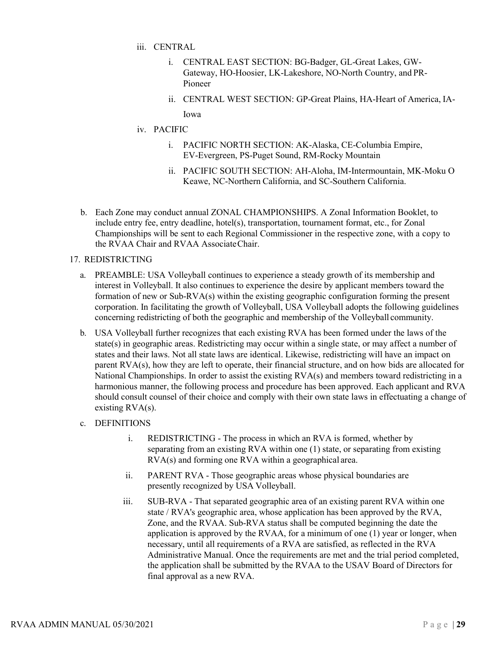- iii. CENTRAL
	- i. CENTRAL EAST SECTION: BG-Badger, GL-Great Lakes, GW-Gateway, HO-Hoosier, LK-Lakeshore, NO-North Country, and PR-Pioneer
	- ii. CENTRAL WEST SECTION: GP-Great Plains, HA-Heart of America, IA-Iowa
- iv. PACIFIC
	- i. PACIFIC NORTH SECTION: AK-Alaska, CE-Columbia Empire, EV-Evergreen, PS-Puget Sound, RM-Rocky Mountain
	- ii. PACIFIC SOUTH SECTION: AH-Aloha, IM-Intermountain, MK-Moku O Keawe, NC-Northern California, and SC-Southern California.
- b. Each Zone may conduct annual ZONAL CHAMPIONSHIPS. A Zonal Information Booklet, to include entry fee, entry deadline, hotel(s), transportation, tournament format, etc., for Zonal Championships will be sent to each Regional Commissioner in the respective zone, with a copy to the RVAA Chair and RVAA AssociateChair.

#### 17. REDISTRICTING

- a. PREAMBLE: USA Volleyball continues to experience a steady growth of its membership and interest in Volleyball. It also continues to experience the desire by applicant members toward the formation of new or Sub-RVA(s) within the existing geographic configuration forming the present corporation. In facilitating the growth of Volleyball, USA Volleyball adopts the following guidelines concerning redistricting of both the geographic and membership of the Volleyball community.
- b. USA Volleyball further recognizes that each existing RVA has been formed under the laws of the state(s) in geographic areas. Redistricting may occur within a single state, or may affect a number of states and their laws. Not all state laws are identical. Likewise, redistricting will have an impact on parent RVA(s), how they are left to operate, their financial structure, and on how bids are allocated for National Championships. In order to assist the existing RVA(s) and members toward redistricting in a harmonious manner, the following process and procedure has been approved. Each applicant and RVA should consult counsel of their choice and comply with their own state laws in effectuating a change of existing RVA(s).
- c. DEFINITIONS
	- i. REDISTRICTING The process in which an RVA is formed, whether by separating from an existing RVA within one (1) state, or separating from existing RVA(s) and forming one RVA within a geographical area.
	- ii. PARENT RVA Those geographic areas whose physical boundaries are presently recognized by USA Volleyball.
	- iii. SUB-RVA That separated geographic area of an existing parent RVA within one state / RVA's geographic area, whose application has been approved by the RVA, Zone, and the RVAA. Sub-RVA status shall be computed beginning the date the application is approved by the RVAA, for a minimum of one (1) year or longer, when necessary, until all requirements of a RVA are satisfied, as reflected in the RVA Administrative Manual. Once the requirements are met and the trial period completed, the application shall be submitted by the RVAA to the USAV Board of Directors for final approval as a new RVA.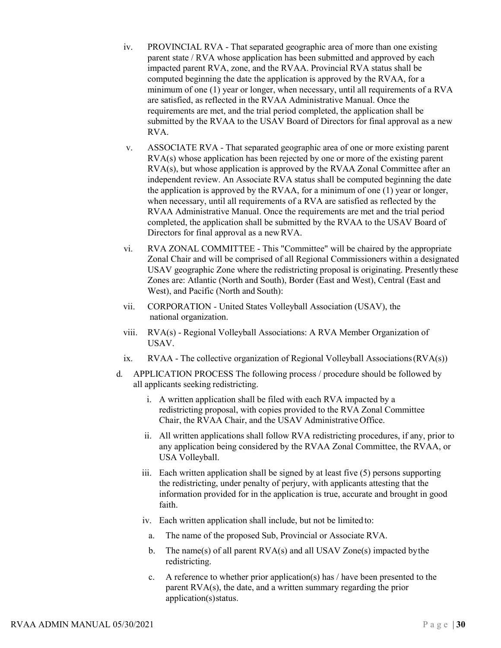- iv. PROVINCIAL RVA That separated geographic area of more than one existing parent state / RVA whose application has been submitted and approved by each impacted parent RVA, zone, and the RVAA. Provincial RVA status shall be computed beginning the date the application is approved by the RVAA, for a minimum of one (1) year or longer, when necessary, until all requirements of a RVA are satisfied, as reflected in the RVAA Administrative Manual. Once the requirements are met, and the trial period completed, the application shall be submitted by the RVAA to the USAV Board of Directors for final approval as a new RVA.
- v. ASSOCIATE RVA That separated geographic area of one or more existing parent RVA(s) whose application has been rejected by one or more of the existing parent RVA(s), but whose application is approved by the RVAA Zonal Committee after an independent review. An Associate RVA status shall be computed beginning the date the application is approved by the RVAA, for a minimum of one (1) year or longer, when necessary, until all requirements of a RVA are satisfied as reflected by the RVAA Administrative Manual. Once the requirements are met and the trial period completed, the application shall be submitted by the RVAA to the USAV Board of Directors for final approval as a new RVA.
- vi. RVA ZONAL COMMITTEE This "Committee" will be chaired by the appropriate Zonal Chair and will be comprised of all Regional Commissioners within a designated USAV geographic Zone where the redistricting proposal is originating. Presentlythese Zones are: Atlantic (North and South), Border (East and West), Central (East and West), and Pacific (North and South):
- vii. CORPORATION United States Volleyball Association (USAV), the national organization.
- viii. RVA(s) Regional Volleyball Associations: A RVA Member Organization of USAV.
- ix. RVAA The collective organization of Regional Volleyball Associations  $(RVA(s))$
- d. APPLICATION PROCESS The following process / procedure should be followed by all applicants seeking redistricting.
	- i. A written application shall be filed with each RVA impacted by a redistricting proposal, with copies provided to the RVA Zonal Committee Chair, the RVAA Chair, and the USAV Administrative Office.
	- ii. All written applications shall follow RVA redistricting procedures, if any, prior to any application being considered by the RVAA Zonal Committee, the RVAA, or USA Volleyball.
	- iii. Each written application shall be signed by at least five (5) persons supporting the redistricting, under penalty of perjury, with applicants attesting that the information provided for in the application is true, accurate and brought in good faith.
	- iv. Each written application shall include, but not be limited to:
	- a. The name of the proposed Sub, Provincial or Associate RVA.
	- b. The name(s) of all parent  $RVA(s)$  and all USAV Zone(s) impacted by the redistricting.
	- c. A reference to whether prior application(s) has / have been presented to the parent RVA(s), the date, and a written summary regarding the prior application(s)status.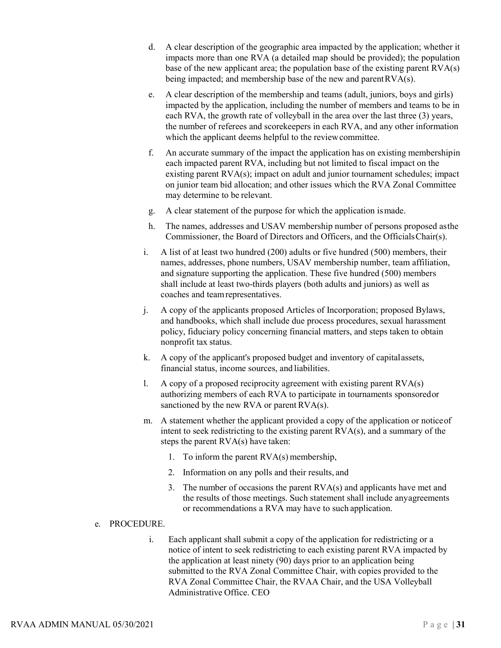- d. A clear description of the geographic area impacted by the application; whether it impacts more than one RVA (a detailed map should be provided); the population base of the new applicant area; the population base of the existing parent  $\text{RVA}(s)$ being impacted; and membership base of the new and parentRVA(s).
- e. A clear description of the membership and teams (adult, juniors, boys and girls) impacted by the application, including the number of members and teams to be in each RVA, the growth rate of volleyball in the area over the last three (3) years, the number of referees and scorekeepers in each RVA, and any other information which the applicant deems helpful to the review committee.
- f. An accurate summary of the impact the application has on existing membershipin each impacted parent RVA, including but not limited to fiscal impact on the existing parent RVA(s); impact on adult and junior tournament schedules; impact on junior team bid allocation; and other issues which the RVA Zonal Committee may determine to be relevant.
- g. A clear statement of the purpose for which the application ismade.
- h. The names, addresses and USAV membership number of persons proposed asthe Commissioner, the Board of Directors and Officers, and the OfficialsChair(s).
- i. A list of at least two hundred (200) adults or five hundred (500) members, their names, addresses, phone numbers, USAV membership number, team affiliation, and signature supporting the application. These five hundred (500) members shall include at least two-thirds players (both adults and juniors) as well as coaches and teamrepresentatives.
- j. A copy of the applicants proposed Articles of Incorporation; proposed Bylaws, and handbooks, which shall include due process procedures, sexual harassment policy, fiduciary policy concerning financial matters, and steps taken to obtain nonprofit tax status.
- k. A copy of the applicant's proposed budget and inventory of capitalassets, financial status, income sources, and liabilities.
- l. A copy of a proposed reciprocity agreement with existing parent  $\text{RVA}(s)$ authorizing members of each RVA to participate in tournaments sponsoredor sanctioned by the new RVA or parent RVA(s).
- m. A statement whether the applicant provided a copy of the application or noticeof intent to seek redistricting to the existing parent RVA(s), and a summary of the steps the parent RVA(s) have taken:
	- 1. To inform the parent  $RVA(s)$  membership,
	- 2. Information on any polls and their results, and
	- 3. The number of occasions the parent  $RVA(s)$  and applicants have met and the results of those meetings. Such statement shall include anyagreements or recommendations a RVA may have to such application.

#### e. PROCEDURE.

i. Each applicant shall submit a copy of the application for redistricting or a notice of intent to seek redistricting to each existing parent RVA impacted by the application at least ninety (90) days prior to an application being submitted to the RVA Zonal Committee Chair, with copies provided to the RVA Zonal Committee Chair, the RVAA Chair, and the USA Volleyball Administrative Office. CEO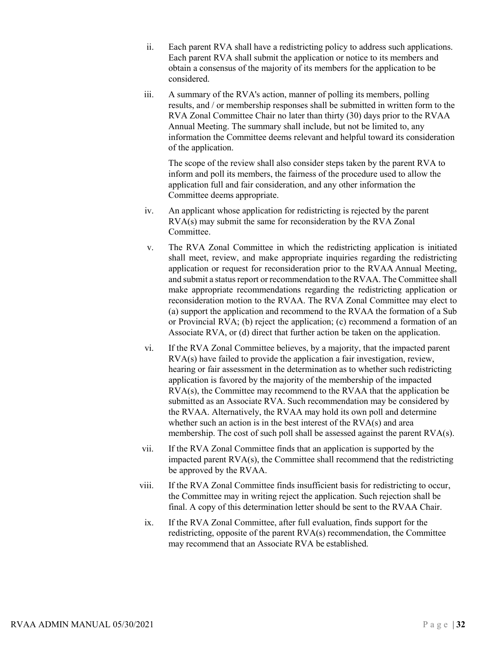- ii. Each parent RVA shall have a redistricting policy to address such applications. Each parent RVA shall submit the application or notice to its members and obtain a consensus of the majority of its members for the application to be considered.
- iii. A summary of the RVA's action, manner of polling its members, polling results, and / or membership responses shall be submitted in written form to the RVA Zonal Committee Chair no later than thirty (30) days prior to the RVAA Annual Meeting. The summary shall include, but not be limited to, any information the Committee deems relevant and helpful toward its consideration of the application.

The scope of the review shall also consider steps taken by the parent RVA to inform and poll its members, the fairness of the procedure used to allow the application full and fair consideration, and any other information the Committee deems appropriate.

- iv. An applicant whose application for redistricting is rejected by the parent RVA(s) may submit the same for reconsideration by the RVA Zonal Committee.
- v. The RVA Zonal Committee in which the redistricting application is initiated shall meet, review, and make appropriate inquiries regarding the redistricting application or request for reconsideration prior to the RVAA Annual Meeting, and submit a status report or recommendation to the RVAA. The Committee shall make appropriate recommendations regarding the redistricting application or reconsideration motion to the RVAA. The RVA Zonal Committee may elect to (a) support the application and recommend to the RVAA the formation of a Sub or Provincial RVA; (b) reject the application; (c) recommend a formation of an Associate RVA, or (d) direct that further action be taken on the application.
- vi. If the RVA Zonal Committee believes, by a majority, that the impacted parent RVA(s) have failed to provide the application a fair investigation, review, hearing or fair assessment in the determination as to whether such redistricting application is favored by the majority of the membership of the impacted RVA(s), the Committee may recommend to the RVAA that the application be submitted as an Associate RVA. Such recommendation may be considered by the RVAA. Alternatively, the RVAA may hold its own poll and determine whether such an action is in the best interest of the RVA(s) and area membership. The cost of such poll shall be assessed against the parent RVA(s).
- vii. If the RVA Zonal Committee finds that an application is supported by the impacted parent RVA(s), the Committee shall recommend that the redistricting be approved by the RVAA.
- viii. If the RVA Zonal Committee finds insufficient basis for redistricting to occur, the Committee may in writing reject the application. Such rejection shall be final. A copy of this determination letter should be sent to the RVAA Chair.
- ix. If the RVA Zonal Committee, after full evaluation, finds support for the redistricting, opposite of the parent RVA(s) recommendation, the Committee may recommend that an Associate RVA be established.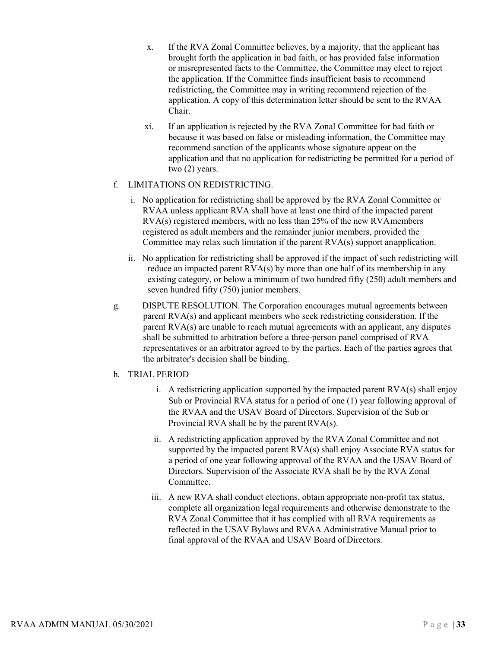- x. If the RVA Zonal Committee believes, by a majority, that the applicant has brought forth the application in bad faith, or has provided false information or misrepresented facts to the Committee, the Committee may elect to reject the application. If the Committee finds insufficient basis to recommend redistricting, the Committee may in writing recommend rejection of the application. A copy of this determination letter should be sent to the RVAA Chair.
- xi. If an application is rejected by the RVA Zonal Committee for bad faith or because it was based on false or misleading information, the Committee may recommend sanction of the applicants whose signature appear on the application and that no application for redistricting be permitted for a period of two (2) years.

## f. LIMITATIONS ON REDISTRICTING.

- i. No application for redistricting shall be approved by the RVA Zonal Committee or RVAA unless applicant RVA shall have at least one third of the impacted parent RVA(s) registered members, with no less than 25% of the new RVAmembers registered as adult members and the remainder junior members, provided the Committee may relax such limitation if the parent RVA(s) support anapplication.
- ii. No application for redistricting shall be approved if the impact of such redistricting will reduce an impacted parent RVA(s) by more than one half of its membership in any existing category, or below a minimum of two hundred fifty (250) adult members and seven hundred fifty (750) junior members.
- g. DISPUTE RESOLUTION. The Corporation encourages mutual agreements between parent RVA(s) and applicant members who seek redistricting consideration. If the parent RVA(s) are unable to reach mutual agreements with an applicant, any disputes shall be submitted to arbitration before a three-person panel comprised of RVA representatives or an arbitrator agreed to by the parties. Each of the parties agrees that the arbitrator's decision shall be binding.

#### h. TRIAL PERIOD

- i. A redistricting application supported by the impacted parent  $RVA(s)$  shall enjoy Sub or Provincial RVA status for a period of one (1) year following approval of the RVAA and the USAV Board of Directors. Supervision of the Sub or Provincial RVA shall be by the parent  $RVA(s)$ .
- ii. A redistricting application approved by the RVA Zonal Committee and not supported by the impacted parent RVA(s) shall enjoy Associate RVA status for a period of one year following approval of the RVAA and the USAV Board of Directors. Supervision of the Associate RVA shall be by the RVA Zonal Committee.
- iii. A new RVA shall conduct elections, obtain appropriate non-profit tax status, complete all organization legal requirements and otherwise demonstrate to the RVA Zonal Committee that it has complied with all RVA requirements as reflected in the USAV Bylaws and RVAA Administrative Manual prior to final approval of the RVAA and USAV Board of Directors.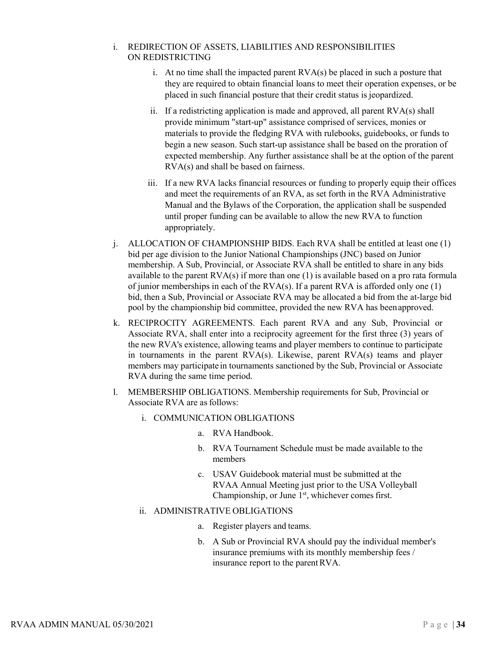#### i. REDIRECTION OF ASSETS, LIABILITIES AND RESPONSIBILITIES ON REDISTRICTING

- i. At no time shall the impacted parent  $RVA(s)$  be placed in such a posture that they are required to obtain financial loans to meet their operation expenses, or be placed in such financial posture that their credit status is jeopardized.
- ii. If a redistricting application is made and approved, all parent RVA(s) shall provide minimum "start-up" assistance comprised of services, monies or materials to provide the fledging RVA with rulebooks, guidebooks, or funds to begin a new season. Such start-up assistance shall be based on the proration of expected membership. Any further assistance shall be at the option of the parent RVA(s) and shall be based on fairness.
- iii. If a new RVA lacks financial resources or funding to properly equip their offices and meet the requirements of an RVA, as set forth in the RVA Administrative Manual and the Bylaws of the Corporation, the application shall be suspended until proper funding can be available to allow the new RVA to function appropriately.
- j. ALLOCATION OF CHAMPIONSHIP BIDS. Each RVA shall be entitled at least one (1) bid per age division to the Junior National Championships (JNC) based on Junior membership. A Sub, Provincial, or Associate RVA shall be entitled to share in any bids available to the parent  $\text{RVA}(s)$  if more than one (1) is available based on a pro rata formula of junior memberships in each of the RVA(s). If a parent RVA is afforded only one (1) bid, then a Sub, Provincial or Associate RVA may be allocated a bid from the at-large bid pool by the championship bid committee, provided the new RVA has beenapproved.
- k. RECIPROCITY AGREEMENTS. Each parent RVA and any Sub, Provincial or Associate RVA, shall enter into a reciprocity agreement for the first three (3) years of the new RVA's existence, allowing teams and player members to continue to participate in tournaments in the parent RVA(s). Likewise, parent RVA(s) teams and player members may participate in tournaments sanctioned by the Sub, Provincial or Associate RVA during the same time period.
- l. MEMBERSHIP OBLIGATIONS. Membership requirements for Sub, Provincial or Associate RVA are as follows:
	- i. COMMUNICATION OBLIGATIONS
		- a. RVA Handbook.
		- b. RVA Tournament Schedule must be made available to the members
		- c. USAV Guidebook material must be submitted at the RVAA Annual Meeting just prior to the USA Volleyball Championship, or June  $1<sup>st</sup>$ , whichever comes first.
	- ii. ADMINISTRATIVE OBLIGATIONS
		- a. Register players and teams.
		- b. A Sub or Provincial RVA should pay the individual member's insurance premiums with its monthly membership fees / insurance report to the parentRVA.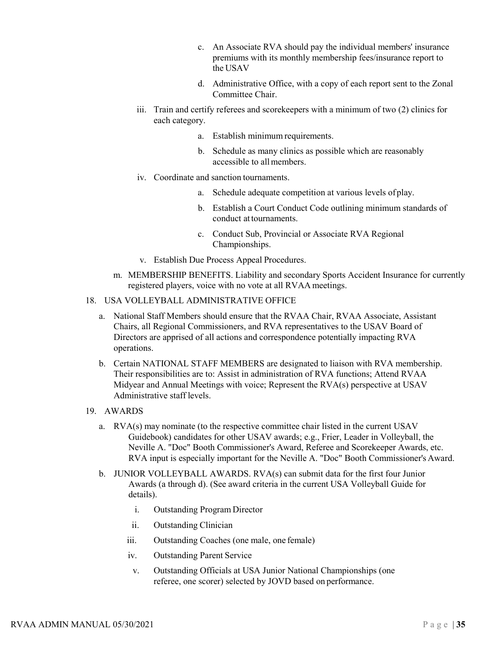- c. An Associate RVA should pay the individual members' insurance premiums with its monthly membership fees/insurance report to the USAV
- d. Administrative Office, with a copy of each report sent to the Zonal Committee Chair.
- iii. Train and certify referees and scorekeepers with a minimum of two (2) clinics for each category.
	- a. Establish minimum requirements.
	- b. Schedule as many clinics as possible which are reasonably accessible to allmembers.
- iv. Coordinate and sanction tournaments.
	- a. Schedule adequate competition at various levels ofplay.
	- b. Establish a Court Conduct Code outlining minimum standards of conduct attournaments.
	- c. Conduct Sub, Provincial or Associate RVA Regional Championships.
- v. Establish Due Process Appeal Procedures.
- m. MEMBERSHIP BENEFITS. Liability and secondary Sports Accident Insurance for currently registered players, voice with no vote at all RVAA meetings.
- 18. USA VOLLEYBALL ADMINISTRATIVE OFFICE
	- a. National Staff Members should ensure that the RVAA Chair, RVAA Associate, Assistant Chairs, all Regional Commissioners, and RVA representatives to the USAV Board of Directors are apprised of all actions and correspondence potentially impacting RVA operations.
	- b. Certain NATIONAL STAFF MEMBERS are designated to liaison with RVA membership. Their responsibilities are to: Assist in administration of RVA functions; Attend RVAA Midyear and Annual Meetings with voice; Represent the RVA(s) perspective at USAV Administrative staff levels.
- 19. AWARDS
	- a. RVA(s) may nominate (to the respective committee chair listed in the current USAV Guidebook) candidates for other USAV awards; e.g., Frier, Leader in Volleyball, the Neville A. "Doc" Booth Commissioner's Award, Referee and Scorekeeper Awards, etc. RVA input is especially important for the Neville A. "Doc" Booth Commissioner's Award.
	- b. JUNIOR VOLLEYBALL AWARDS. RVA(s) can submit data for the first four Junior Awards (a through d). (See award criteria in the current USA Volleyball Guide for details).
		- i. Outstanding Program Director
		- ii. Outstanding Clinician
		- iii. Outstanding Coaches (one male, one female)
		- iv. Outstanding Parent Service
		- v. Outstanding Officials at USA Junior National Championships (one referee, one scorer) selected by JOVD based on performance.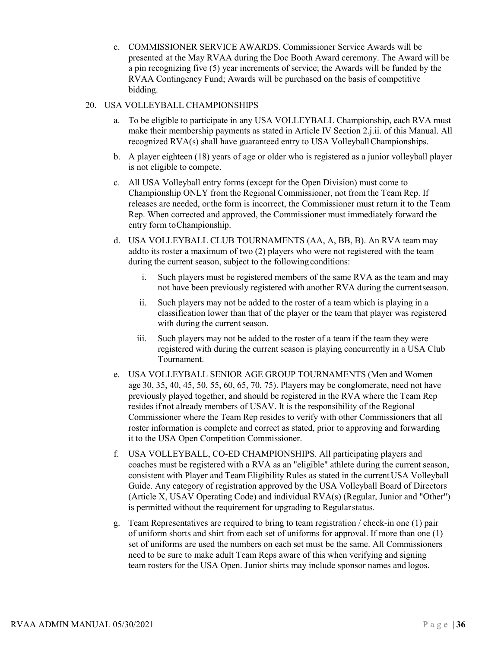c. COMMISSIONER SERVICE AWARDS. Commissioner Service Awards will be presented at the May RVAA during the Doc Booth Award ceremony. The Award will be a pin recognizing five (5) year increments of service; the Awards will be funded by the RVAA Contingency Fund; Awards will be purchased on the basis of competitive bidding.

#### 20. USA VOLLEYBALL CHAMPIONSHIPS

- a. To be eligible to participate in any USA VOLLEYBALL Championship, each RVA must make their membership payments as stated in Article IV Section 2.j.ii. of this Manual. All recognized RVA(s) shall have guaranteed entry to USA VolleyballChampionships.
- b. A player eighteen (18) years of age or older who is registered as a junior volleyball player is not eligible to compete.
- c. All USA Volleyball entry forms (except for the Open Division) must come to Championship ONLY from the Regional Commissioner, not from the Team Rep. If releases are needed, orthe form is incorrect, the Commissioner must return it to the Team Rep. When corrected and approved, the Commissioner must immediately forward the entry form toChampionship.
- d. USA VOLLEYBALL CLUB TOURNAMENTS (AA, A, BB, B). An RVA team may addto its roster a maximum of two (2) players who were not registered with the team during the current season, subject to the following conditions:
	- i. Such players must be registered members of the same RVA as the team and may not have been previously registered with another RVA during the currentseason.
	- ii. Such players may not be added to the roster of a team which is playing in a classification lower than that of the player or the team that player was registered with during the current season.
	- iii. Such players may not be added to the roster of a team if the team they were registered with during the current season is playing concurrently in a USA Club Tournament.
- e. USA VOLLEYBALL SENIOR AGE GROUP TOURNAMENTS (Men and Women age 30, 35, 40, 45, 50, 55, 60, 65, 70, 75). Players may be conglomerate, need not have previously played together, and should be registered in the RVA where the Team Rep resides if not already members of USAV. It is the responsibility of the Regional Commissioner where the Team Rep resides to verify with other Commissioners that all roster information is complete and correct as stated, prior to approving and forwarding it to the USA Open Competition Commissioner.
- f. USA VOLLEYBALL, CO-ED CHAMPIONSHIPS. All participating players and coaches must be registered with a RVA as an "eligible" athlete during the current season, consistent with Player and Team Eligibility Rules as stated in the currentUSA Volleyball Guide. Any category of registration approved by the USA Volleyball Board of Directors (Article X, USAV Operating Code) and individual RVA(s) (Regular, Junior and "Other") is permitted without the requirement for upgrading to Regularstatus.
- g. Team Representatives are required to bring to team registration / check-in one (1) pair of uniform shorts and shirt from each set of uniforms for approval. If more than one (1) set of uniforms are used the numbers on each set must be the same. All Commissioners need to be sure to make adult Team Reps aware of this when verifying and signing team rosters for the USA Open. Junior shirts may include sponsor names and logos.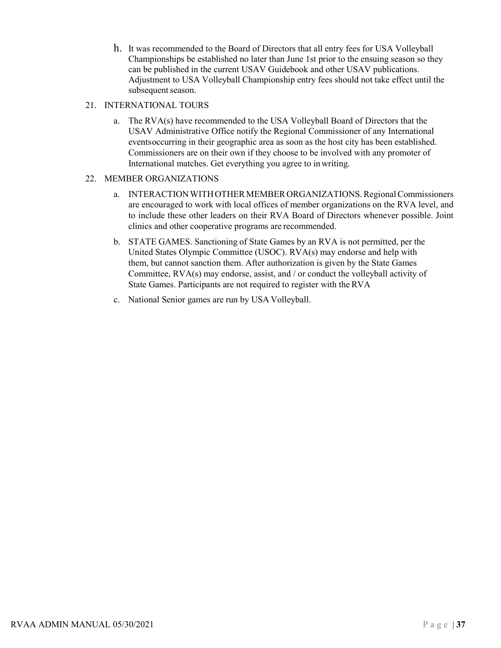- h. It was recommended to the Board of Directors that all entry fees for USA Volleyball Championships be established no later than June 1st prior to the ensuing season so they can be published in the current USAV Guidebook and other USAV publications. Adjustment to USA Volleyball Championship entry fees should not take effect until the subsequent season.
- 21. INTERNATIONAL TOURS
	- a. The RVA(s) have recommended to the USA Volleyball Board of Directors that the USAV Administrative Office notify the Regional Commissioner of any International eventsoccurring in their geographic area as soon as the host city has been established. Commissioners are on their own if they choose to be involved with any promoter of International matches. Get everything you agree to in writing.

#### 22. MEMBER ORGANIZATIONS

- a. INTERACTION WITH OTHER MEMBER ORGANIZATIONS. Regional Commissioners are encouraged to work with local offices of member organizations on the RVA level, and to include these other leaders on their RVA Board of Directors whenever possible. Joint clinics and other cooperative programs are recommended.
- b. STATE GAMES. Sanctioning of State Games by an RVA is not permitted, per the United States Olympic Committee (USOC). RVA(s) may endorse and help with them, but cannot sanction them. After authorization is given by the State Games Committee, RVA(s) may endorse, assist, and / or conduct the volleyball activity of State Games. Participants are not required to register with the RVA
- c. National Senior games are run by USA Volleyball.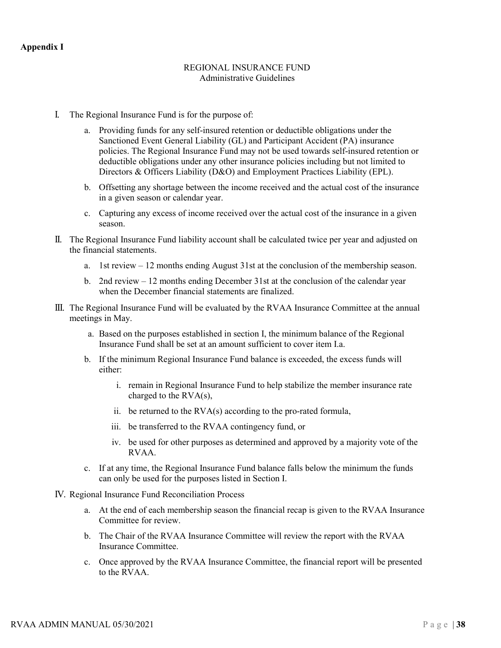## **Appendix I**

#### REGIONAL INSURANCE FUND Administrative Guidelines

- I. The Regional Insurance Fund is for the purpose of:
	- a. Providing funds for any self-insured retention or deductible obligations under the Sanctioned Event General Liability (GL) and Participant Accident (PA) insurance policies. The Regional Insurance Fund may not be used towards self-insured retention or deductible obligations under any other insurance policies including but not limited to Directors & Officers Liability (D&O) and Employment Practices Liability (EPL).
	- b. Offsetting any shortage between the income received and the actual cost of the insurance in a given season or calendar year.
	- c. Capturing any excess of income received over the actual cost of the insurance in a given season.
- II. The Regional Insurance Fund liability account shall be calculated twice per year and adjusted on the financial statements.
	- a. 1st review 12 months ending August 31st at the conclusion of the membership season.
	- b. 2nd review 12 months ending December 31st at the conclusion of the calendar year when the December financial statements are finalized.
- III. The Regional Insurance Fund will be evaluated by the RVAA Insurance Committee at the annual meetings in May.
	- a. Based on the purposes established in section I, the minimum balance of the Regional Insurance Fund shall be set at an amount sufficient to cover item I.a.
	- b. If the minimum Regional Insurance Fund balance is exceeded, the excess funds will either:
		- i. remain in Regional Insurance Fund to help stabilize the member insurance rate charged to the RVA(s),
		- ii. be returned to the  $RVA(s)$  according to the pro-rated formula,
		- iii. be transferred to the RVAA contingency fund, or
		- iv. be used for other purposes as determined and approved by a majority vote of the RVAA.
	- c. If at any time, the Regional Insurance Fund balance falls below the minimum the funds can only be used for the purposes listed in Section I.
- IV. Regional Insurance Fund Reconciliation Process
	- a. At the end of each membership season the financial recap is given to the RVAA Insurance Committee for review.
	- b. The Chair of the RVAA Insurance Committee will review the report with the RVAA Insurance Committee.
	- c. Once approved by the RVAA Insurance Committee, the financial report will be presented to the RVAA.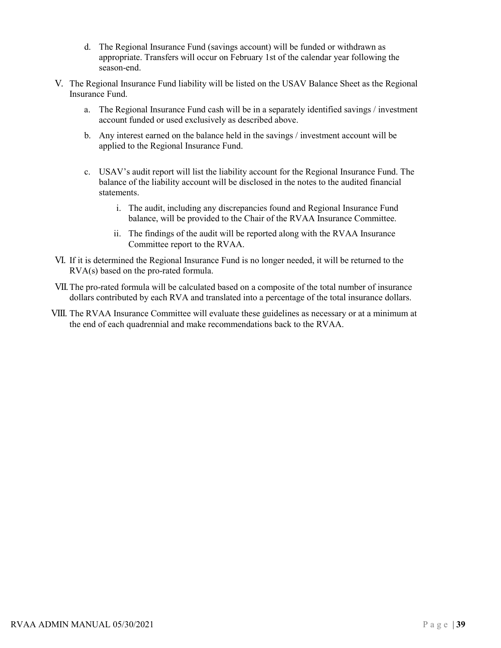- d. The Regional Insurance Fund (savings account) will be funded or withdrawn as appropriate. Transfers will occur on February 1st of the calendar year following the season-end.
- V. The Regional Insurance Fund liability will be listed on the USAV Balance Sheet as the Regional Insurance Fund.
	- a. The Regional Insurance Fund cash will be in a separately identified savings / investment account funded or used exclusively as described above.
	- b. Any interest earned on the balance held in the savings / investment account will be applied to the Regional Insurance Fund.
	- c. USAV's audit report will list the liability account for the Regional Insurance Fund. The balance of the liability account will be disclosed in the notes to the audited financial statements.
		- i. The audit, including any discrepancies found and Regional Insurance Fund balance, will be provided to the Chair of the RVAA Insurance Committee.
		- ii. The findings of the audit will be reported along with the RVAA Insurance Committee report to the RVAA.
- VI. If it is determined the Regional Insurance Fund is no longer needed, it will be returned to the RVA(s) based on the pro-rated formula.
- VII.The pro-rated formula will be calculated based on a composite of the total number of insurance dollars contributed by each RVA and translated into a percentage of the total insurance dollars.
- VIII. The RVAA Insurance Committee will evaluate these guidelines as necessary or at a minimum at the end of each quadrennial and make recommendations back to the RVAA.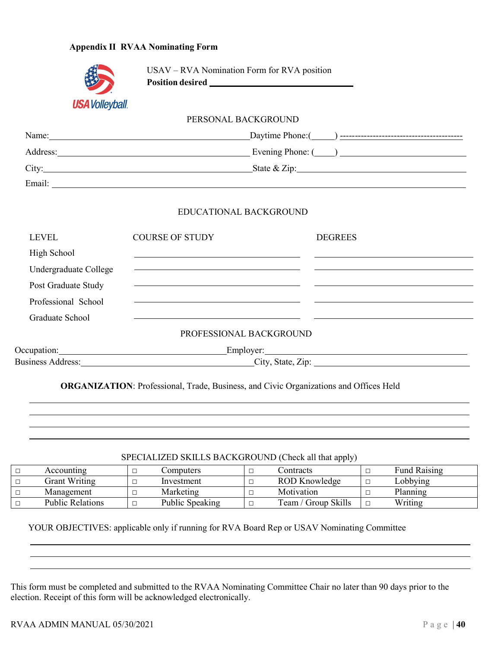#### **Appendix II RVAA Nominating Form**

|                        |                                                                                                     | Position desired New York Changes and Security and Security and Security and Security and Security and Security and Security and Security and Security and Security and Security and Security and Security and Security and Se       |
|------------------------|-----------------------------------------------------------------------------------------------------|--------------------------------------------------------------------------------------------------------------------------------------------------------------------------------------------------------------------------------------|
| <b>USA</b> Volleyball. |                                                                                                     |                                                                                                                                                                                                                                      |
|                        | PERSONAL BACKGROUND                                                                                 |                                                                                                                                                                                                                                      |
|                        |                                                                                                     | Name: <u>Daytime Phone: Daytime Phone: (California)</u>                                                                                                                                                                              |
|                        |                                                                                                     | Address: <u>New Architecture Communications and Evening Phone: (New York: 1998)</u>                                                                                                                                                  |
|                        |                                                                                                     | City: State & Zip: State & Zip:                                                                                                                                                                                                      |
|                        |                                                                                                     |                                                                                                                                                                                                                                      |
| <b>LEVEL</b>           | EDUCATIONAL BACKGROUND<br><b>COURSE OF STUDY</b>                                                    | <b>DEGREES</b>                                                                                                                                                                                                                       |
|                        |                                                                                                     |                                                                                                                                                                                                                                      |
| High School            |                                                                                                     |                                                                                                                                                                                                                                      |
| Undergraduate College  | the contract of the contract of the contract of the contract of the contract of the contract of the | <u>state and the state of the state of the state of the state of the state of the state of the state of the state of the state of the state of the state of the state of the state of the state of the state of the state of the</u> |
| Post Graduate Study    |                                                                                                     |                                                                                                                                                                                                                                      |
| Professional School    |                                                                                                     | <u> 1999 - Johann Harry Harry Harry Harry Harry Harry Harry Harry Harry Harry Harry Harry Harry Harry Harry Harry</u>                                                                                                                |
| Graduate School        |                                                                                                     | <u> 1999 - Johann Harry Harry Harry Harry Harry Harry Harry Harry Harry Harry Harry Harry Harry Harry Harry Harry</u>                                                                                                                |
|                        | PROFESSIONAL BACKGROUND                                                                             |                                                                                                                                                                                                                                      |
|                        |                                                                                                     | Occupation: Employer: Employer: Employer: Employer: Employer: Employer: Employer: Employer: Employer: Employer                                                                                                                       |

## SPECIALIZED SKILLS BACKGROUND (Check all that apply)

| Accounting              | omputers_       | Contracts           | <b>Fund Raising</b> |
|-------------------------|-----------------|---------------------|---------------------|
| <b>Grant Writing</b>    | Investment      | ROD Knowledge       | Lobbying            |
| Management              | Marketing       | Motivation          | Planning            |
| <b>Public Relations</b> | Public Speaking | Team / Group Skills | Writing             |

YOUR OBJECTIVES: applicable only if running for RVA Board Rep or USAV Nominating Committee

This form must be completed and submitted to the RVAA Nominating Committee Chair no later than 90 days prior to the election. Receipt of this form will be acknowledged electronically.